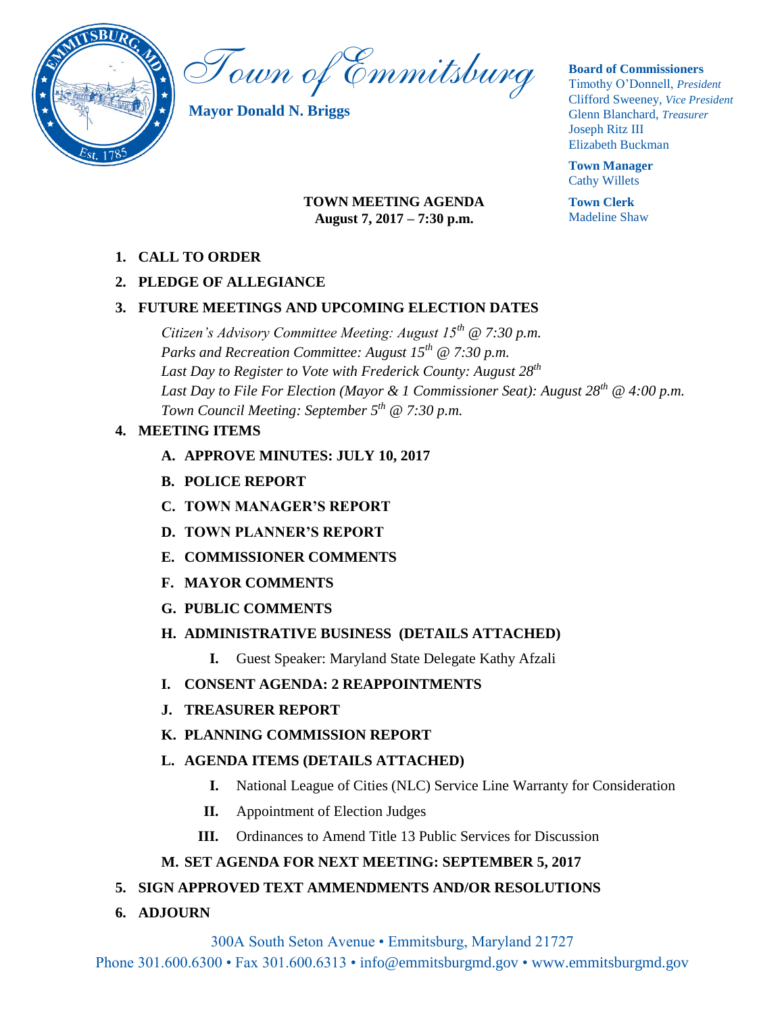

Town of Emmitsburg

**Mayor Donald N. Briggs**

### **Board of Commissioners**

Timothy O'Donnell, *President*  Clifford Sweeney, *Vice President*  Glenn Blanchard, *Treasurer*  Joseph Ritz III Elizabeth Buckman

**Town Manager** Cathy Willets

**Town Clerk** Madeline Shaw

## **TOWN MEETING AGENDA August 7, 2017 – 7:30 p.m.**

**1. CALL TO ORDER**

## **2. PLEDGE OF ALLEGIANCE**

## **3. FUTURE MEETINGS AND UPCOMING ELECTION DATES**

*Citizen's Advisory Committee Meeting: August 15th @ 7:30 p.m. Parks and Recreation Committee: August 15th @ 7:30 p.m. Last Day to Register to Vote with Frederick County: August 28th Last Day to File For Election (Mayor & 1 Commissioner Seat): August 28th @ 4:00 p.m. Town Council Meeting: September 5 th @ 7:30 p.m.*

## **4. MEETING ITEMS**

- **A. APPROVE MINUTES: JULY 10, 2017**
- **B. POLICE REPORT**
- **C. TOWN MANAGER'S REPORT**
- **D. TOWN PLANNER'S REPORT**
- **E. COMMISSIONER COMMENTS**
- **F. MAYOR COMMENTS**
- **G. PUBLIC COMMENTS**

# **H. ADMINISTRATIVE BUSINESS (DETAILS ATTACHED)**

- **I.** Guest Speaker: Maryland State Delegate Kathy Afzali
- **I. CONSENT AGENDA: 2 REAPPOINTMENTS**
- **J. TREASURER REPORT**

# **K. PLANNING COMMISSION REPORT**

# **L. AGENDA ITEMS (DETAILS ATTACHED)**

- **I.** National League of Cities (NLC) Service Line Warranty for Consideration
- **II.** Appointment of Election Judges
- **III.** Ordinances to Amend Title 13 Public Services for Discussion

# **M. SET AGENDA FOR NEXT MEETING: SEPTEMBER 5, 2017**

# **5. SIGN APPROVED TEXT AMMENDMENTS AND/OR RESOLUTIONS**

**6. ADJOURN** 

300A South Seton Avenue • Emmitsburg, Maryland 21727

Phone 301.600.6300 • Fax 301.600.6313 • info@emmitsburgmd.gov • www.emmitsburgmd.gov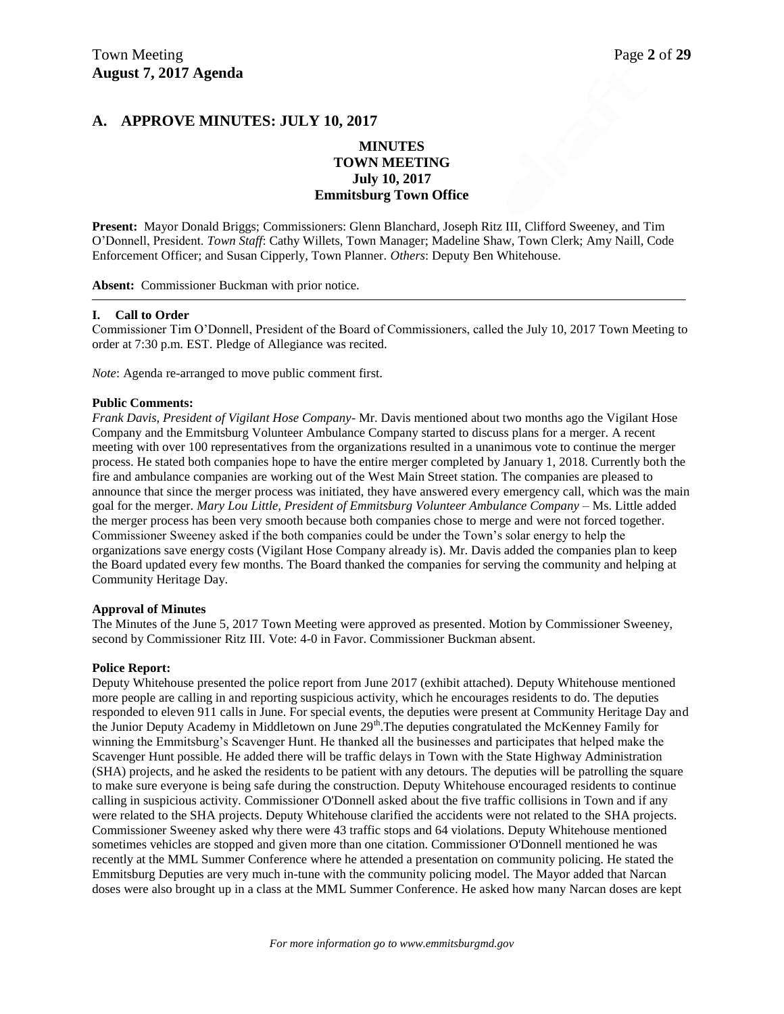### **A. APPROVE MINUTES: JULY 10, 2017**

### **MINUTES TOWN MEETING July 10, 2017 Emmitsburg Town Office**

**Present:** Mayor Donald Briggs; Commissioners: Glenn Blanchard, Joseph Ritz III, Clifford Sweeney, and Tim O'Donnell, President. *Town Staff*: Cathy Willets, Town Manager; Madeline Shaw, Town Clerk; Amy Naill, Code Enforcement Officer; and Susan Cipperly, Town Planner. *Others*: Deputy Ben Whitehouse.

**Absent:** Commissioner Buckman with prior notice.

#### **I. Call to Order**

Commissioner Tim O'Donnell, President of the Board of Commissioners, called the July 10, 2017 Town Meeting to order at 7:30 p.m. EST. Pledge of Allegiance was recited.

*Note*: Agenda re-arranged to move public comment first.

#### **Public Comments:**

*Frank Davis, President of Vigilant Hose Company*- Mr. Davis mentioned about two months ago the Vigilant Hose Company and the Emmitsburg Volunteer Ambulance Company started to discuss plans for a merger. A recent meeting with over 100 representatives from the organizations resulted in a unanimous vote to continue the merger process. He stated both companies hope to have the entire merger completed by January 1, 2018. Currently both the fire and ambulance companies are working out of the West Main Street station. The companies are pleased to announce that since the merger process was initiated, they have answered every emergency call, which was the main goal for the merger. *Mary Lou Little, President of Emmitsburg Volunteer Ambulance Company - Ms.* Little added the merger process has been very smooth because both companies chose to merge and were not forced together. Commissioner Sweeney asked if the both companies could be under the Town's solar energy to help the organizations save energy costs (Vigilant Hose Company already is). Mr. Davis added the companies plan to keep the Board updated every few months. The Board thanked the companies for serving the community and helping at Community Heritage Day.

#### **Approval of Minutes**

The Minutes of the June 5, 2017 Town Meeting were approved as presented. Motion by Commissioner Sweeney, second by Commissioner Ritz III. Vote: 4-0 in Favor. Commissioner Buckman absent.

#### **Police Report:**

Deputy Whitehouse presented the police report from June 2017 (exhibit attached). Deputy Whitehouse mentioned more people are calling in and reporting suspicious activity, which he encourages residents to do. The deputies responded to eleven 911 calls in June. For special events, the deputies were present at Community Heritage Day and the Junior Deputy Academy in Middletown on June 29<sup>th</sup>. The deputies congratulated the McKenney Family for winning the Emmitsburg's Scavenger Hunt. He thanked all the businesses and participates that helped make the Scavenger Hunt possible. He added there will be traffic delays in Town with the State Highway Administration (SHA) projects, and he asked the residents to be patient with any detours. The deputies will be patrolling the square to make sure everyone is being safe during the construction. Deputy Whitehouse encouraged residents to continue calling in suspicious activity. Commissioner O'Donnell asked about the five traffic collisions in Town and if any were related to the SHA projects. Deputy Whitehouse clarified the accidents were not related to the SHA projects. Commissioner Sweeney asked why there were 43 traffic stops and 64 violations. Deputy Whitehouse mentioned sometimes vehicles are stopped and given more than one citation. Commissioner O'Donnell mentioned he was recently at the MML Summer Conference where he attended a presentation on community policing. He stated the Emmitsburg Deputies are very much in-tune with the community policing model. The Mayor added that Narcan doses were also brought up in a class at the MML Summer Conference. He asked how many Narcan doses are kept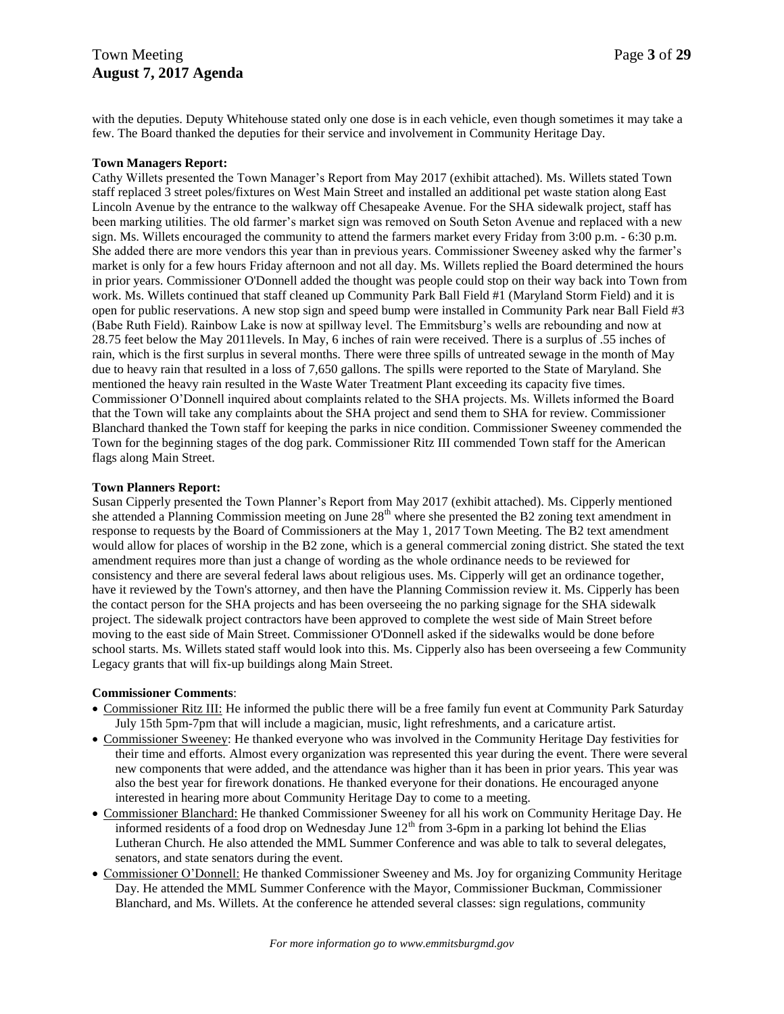with the deputies. Deputy Whitehouse stated only one dose is in each vehicle, even though sometimes it may take a few. The Board thanked the deputies for their service and involvement in Community Heritage Day.

### **Town Managers Report:**

Cathy Willets presented the Town Manager's Report from May 2017 (exhibit attached). Ms. Willets stated Town staff replaced 3 street poles/fixtures on West Main Street and installed an additional pet waste station along East Lincoln Avenue by the entrance to the walkway off Chesapeake Avenue. For the SHA sidewalk project, staff has been marking utilities. The old farmer's market sign was removed on South Seton Avenue and replaced with a new sign. Ms. Willets encouraged the community to attend the farmers market every Friday from 3:00 p.m. - 6:30 p.m. She added there are more vendors this year than in previous years. Commissioner Sweeney asked why the farmer's market is only for a few hours Friday afternoon and not all day. Ms. Willets replied the Board determined the hours in prior years. Commissioner O'Donnell added the thought was people could stop on their way back into Town from work. Ms. Willets continued that staff cleaned up Community Park Ball Field #1 (Maryland Storm Field) and it is open for public reservations. A new stop sign and speed bump were installed in Community Park near Ball Field #3 (Babe Ruth Field). Rainbow Lake is now at spillway level. The Emmitsburg's wells are rebounding and now at 28.75 feet below the May 2011levels. In May, 6 inches of rain were received. There is a surplus of .55 inches of rain, which is the first surplus in several months. There were three spills of untreated sewage in the month of May due to heavy rain that resulted in a loss of 7,650 gallons. The spills were reported to the State of Maryland. She mentioned the heavy rain resulted in the Waste Water Treatment Plant exceeding its capacity five times. Commissioner O'Donnell inquired about complaints related to the SHA projects. Ms. Willets informed the Board that the Town will take any complaints about the SHA project and send them to SHA for review. Commissioner Blanchard thanked the Town staff for keeping the parks in nice condition. Commissioner Sweeney commended the Town for the beginning stages of the dog park. Commissioner Ritz III commended Town staff for the American flags along Main Street.

### **Town Planners Report:**

Susan Cipperly presented the Town Planner's Report from May 2017 (exhibit attached). Ms. Cipperly mentioned she attended a Planning Commission meeting on June 28<sup>th</sup> where she presented the B2 zoning text amendment in response to requests by the Board of Commissioners at the May 1, 2017 Town Meeting. The B2 text amendment would allow for places of worship in the B2 zone, which is a general commercial zoning district. She stated the text amendment requires more than just a change of wording as the whole ordinance needs to be reviewed for consistency and there are several federal laws about religious uses. Ms. Cipperly will get an ordinance together, have it reviewed by the Town's attorney, and then have the Planning Commission review it. Ms. Cipperly has been the contact person for the SHA projects and has been overseeing the no parking signage for the SHA sidewalk project. The sidewalk project contractors have been approved to complete the west side of Main Street before moving to the east side of Main Street. Commissioner O'Donnell asked if the sidewalks would be done before school starts. Ms. Willets stated staff would look into this. Ms. Cipperly also has been overseeing a few Community Legacy grants that will fix-up buildings along Main Street.

### **Commissioner Comments**:

- Commissioner Ritz III: He informed the public there will be a free family fun event at Community Park Saturday July 15th 5pm-7pm that will include a magician, music, light refreshments, and a caricature artist.
- Commissioner Sweeney: He thanked everyone who was involved in the Community Heritage Day festivities for their time and efforts. Almost every organization was represented this year during the event. There were several new components that were added, and the attendance was higher than it has been in prior years. This year was also the best year for firework donations. He thanked everyone for their donations. He encouraged anyone interested in hearing more about Community Heritage Day to come to a meeting.
- Commissioner Blanchard: He thanked Commissioner Sweeney for all his work on Community Heritage Day. He informed residents of a food drop on Wednesday June  $12<sup>th</sup>$  from 3-6pm in a parking lot behind the Elias Lutheran Church. He also attended the MML Summer Conference and was able to talk to several delegates, senators, and state senators during the event.
- Commissioner O'Donnell: He thanked Commissioner Sweeney and Ms. Joy for organizing Community Heritage Day. He attended the MML Summer Conference with the Mayor, Commissioner Buckman, Commissioner Blanchard, and Ms. Willets. At the conference he attended several classes: sign regulations, community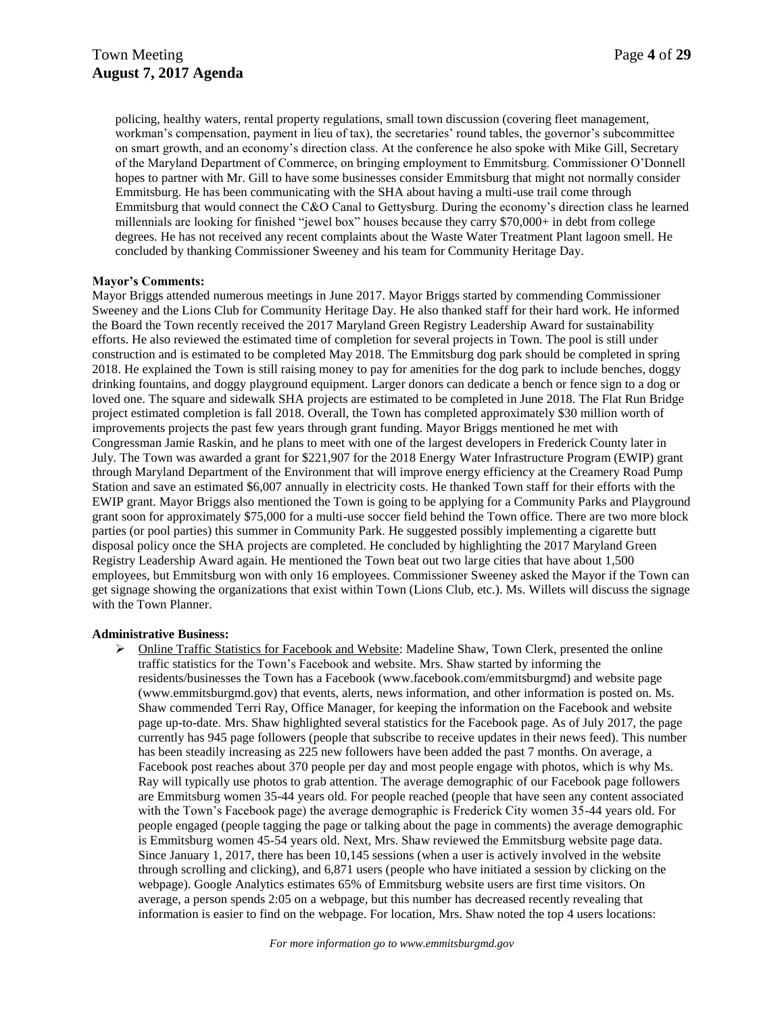policing, healthy waters, rental property regulations, small town discussion (covering fleet management, workman's compensation, payment in lieu of tax), the secretaries' round tables, the governor's subcommittee on smart growth, and an economy's direction class. At the conference he also spoke with Mike Gill, Secretary of the Maryland Department of Commerce, on bringing employment to Emmitsburg. Commissioner O'Donnell hopes to partner with Mr. Gill to have some businesses consider Emmitsburg that might not normally consider Emmitsburg. He has been communicating with the SHA about having a multi-use trail come through Emmitsburg that would connect the C&O Canal to Gettysburg. During the economy's direction class he learned millennials are looking for finished "jewel box" houses because they carry \$70,000+ in debt from college degrees. He has not received any recent complaints about the Waste Water Treatment Plant lagoon smell. He concluded by thanking Commissioner Sweeney and his team for Community Heritage Day.

### **Mayor's Comments:**

Mayor Briggs attended numerous meetings in June 2017. Mayor Briggs started by commending Commissioner Sweeney and the Lions Club for Community Heritage Day. He also thanked staff for their hard work. He informed the Board the Town recently received the 2017 Maryland Green Registry Leadership Award for sustainability efforts. He also reviewed the estimated time of completion for several projects in Town. The pool is still under construction and is estimated to be completed May 2018. The Emmitsburg dog park should be completed in spring 2018. He explained the Town is still raising money to pay for amenities for the dog park to include benches, doggy drinking fountains, and doggy playground equipment. Larger donors can dedicate a bench or fence sign to a dog or loved one. The square and sidewalk SHA projects are estimated to be completed in June 2018. The Flat Run Bridge project estimated completion is fall 2018. Overall, the Town has completed approximately \$30 million worth of improvements projects the past few years through grant funding. Mayor Briggs mentioned he met with Congressman Jamie Raskin, and he plans to meet with one of the largest developers in Frederick County later in July. The Town was awarded a grant for \$221,907 for the 2018 Energy Water Infrastructure Program (EWIP) grant through Maryland Department of the Environment that will improve energy efficiency at the Creamery Road Pump Station and save an estimated \$6,007 annually in electricity costs. He thanked Town staff for their efforts with the EWIP grant. Mayor Briggs also mentioned the Town is going to be applying for a Community Parks and Playground grant soon for approximately \$75,000 for a multi-use soccer field behind the Town office. There are two more block parties (or pool parties) this summer in Community Park. He suggested possibly implementing a cigarette butt disposal policy once the SHA projects are completed. He concluded by highlighting the 2017 Maryland Green Registry Leadership Award again. He mentioned the Town beat out two large cities that have about 1,500 employees, but Emmitsburg won with only 16 employees. Commissioner Sweeney asked the Mayor if the Town can get signage showing the organizations that exist within Town (Lions Club, etc.). Ms. Willets will discuss the signage with the Town Planner.

#### **Administrative Business:**

 $\triangleright$  Online Traffic Statistics for Facebook and Website: Madeline Shaw, Town Clerk, presented the online traffic statistics for the Town's Facebook and website. Mrs. Shaw started by informing the residents/businesses the Town has a Facebook (www.facebook.com/emmitsburgmd) and website page (www.emmitsburgmd.gov) that events, alerts, news information, and other information is posted on. Ms. Shaw commended Terri Ray, Office Manager, for keeping the information on the Facebook and website page up-to-date. Mrs. Shaw highlighted several statistics for the Facebook page. As of July 2017, the page currently has 945 page followers (people that subscribe to receive updates in their news feed). This number has been steadily increasing as 225 new followers have been added the past 7 months. On average, a Facebook post reaches about 370 people per day and most people engage with photos, which is why Ms. Ray will typically use photos to grab attention. The average demographic of our Facebook page followers are Emmitsburg women 35-44 years old. For people reached (people that have seen any content associated with the Town's Facebook page) the average demographic is Frederick City women 35-44 years old. For people engaged (people tagging the page or talking about the page in comments) the average demographic is Emmitsburg women 45-54 years old. Next, Mrs. Shaw reviewed the Emmitsburg website page data. Since January 1, 2017, there has been 10,145 sessions (when a user is actively involved in the website through scrolling and clicking), and 6,871 users (people who have initiated a session by clicking on the webpage). Google Analytics estimates 65% of Emmitsburg website users are first time visitors. On average, a person spends 2:05 on a webpage, but this number has decreased recently revealing that information is easier to find on the webpage. For location, Mrs. Shaw noted the top 4 users locations: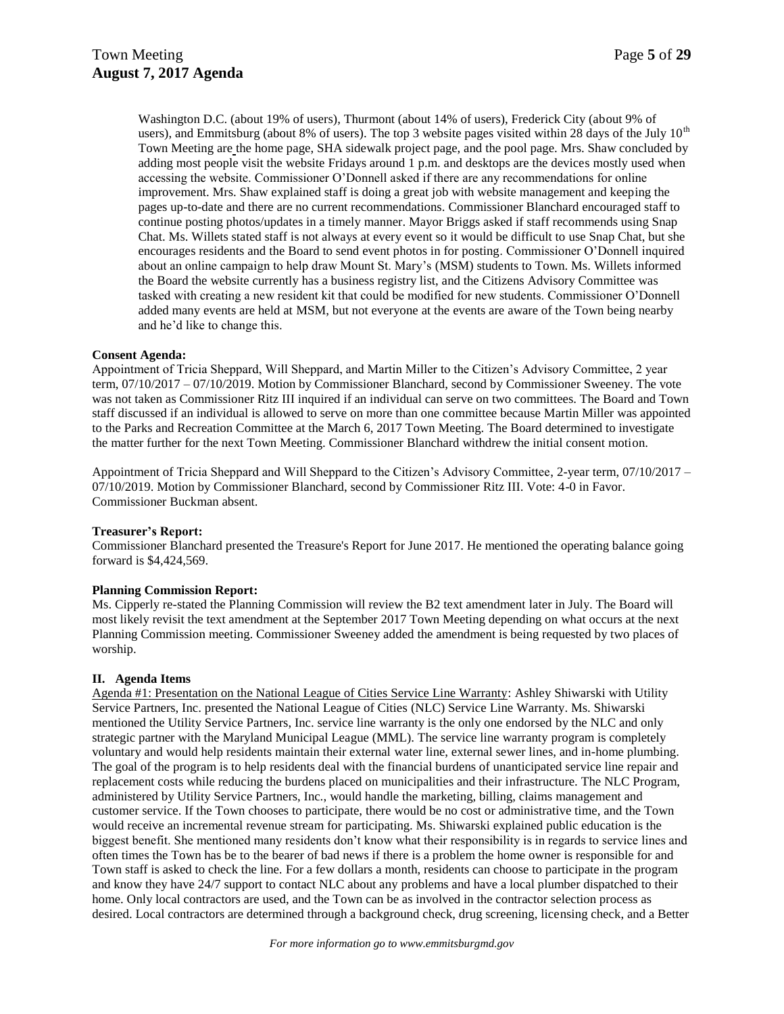Washington D.C. (about 19% of users), Thurmont (about 14% of users), Frederick City (about 9% of users), and Emmitsburg (about 8% of users). The top 3 website pages visited within 28 days of the July  $10<sup>th</sup>$ Town Meeting are the home page, SHA sidewalk project page, and the pool page. Mrs. Shaw concluded by adding most people visit the website Fridays around 1 p.m. and desktops are the devices mostly used when accessing the website. Commissioner O'Donnell asked if there are any recommendations for online improvement. Mrs. Shaw explained staff is doing a great job with website management and keeping the pages up-to-date and there are no current recommendations. Commissioner Blanchard encouraged staff to continue posting photos/updates in a timely manner. Mayor Briggs asked if staff recommends using Snap Chat. Ms. Willets stated staff is not always at every event so it would be difficult to use Snap Chat, but she encourages residents and the Board to send event photos in for posting. Commissioner O'Donnell inquired about an online campaign to help draw Mount St. Mary's (MSM) students to Town. Ms. Willets informed the Board the website currently has a business registry list, and the Citizens Advisory Committee was tasked with creating a new resident kit that could be modified for new students. Commissioner O'Donnell added many events are held at MSM, but not everyone at the events are aware of the Town being nearby and he'd like to change this.

#### **Consent Agenda:**

Appointment of Tricia Sheppard, Will Sheppard, and Martin Miller to the Citizen's Advisory Committee, 2 year term, 07/10/2017 – 07/10/2019. Motion by Commissioner Blanchard, second by Commissioner Sweeney. The vote was not taken as Commissioner Ritz III inquired if an individual can serve on two committees. The Board and Town staff discussed if an individual is allowed to serve on more than one committee because Martin Miller was appointed to the Parks and Recreation Committee at the March 6, 2017 Town Meeting. The Board determined to investigate the matter further for the next Town Meeting. Commissioner Blanchard withdrew the initial consent motion.

Appointment of Tricia Sheppard and Will Sheppard to the Citizen's Advisory Committee, 2-year term, 07/10/2017 – 07/10/2019. Motion by Commissioner Blanchard, second by Commissioner Ritz III. Vote: 4-0 in Favor. Commissioner Buckman absent.

#### **Treasurer's Report:**

Commissioner Blanchard presented the Treasure's Report for June 2017. He mentioned the operating balance going forward is \$4,424,569.

#### **Planning Commission Report:**

Ms. Cipperly re-stated the Planning Commission will review the B2 text amendment later in July. The Board will most likely revisit the text amendment at the September 2017 Town Meeting depending on what occurs at the next Planning Commission meeting. Commissioner Sweeney added the amendment is being requested by two places of worship.

#### **II. Agenda Items**

Agenda #1: Presentation on the National League of Cities Service Line Warranty: Ashley Shiwarski with Utility Service Partners, Inc. presented the National League of Cities (NLC) Service Line Warranty. Ms. Shiwarski mentioned the Utility Service Partners, Inc. service line warranty is the only one endorsed by the NLC and only strategic partner with the Maryland Municipal League (MML). The service line warranty program is completely voluntary and would help residents maintain their external water line, external sewer lines, and in-home plumbing. The goal of the program is to help residents deal with the financial burdens of unanticipated service line repair and replacement costs while reducing the burdens placed on municipalities and their infrastructure. The NLC Program, administered by Utility Service Partners, Inc., would handle the marketing, billing, claims management and customer service. If the Town chooses to participate, there would be no cost or administrative time, and the Town would receive an incremental revenue stream for participating. Ms. Shiwarski explained public education is the biggest benefit. She mentioned many residents don't know what their responsibility is in regards to service lines and often times the Town has be to the bearer of bad news if there is a problem the home owner is responsible for and Town staff is asked to check the line. For a few dollars a month, residents can choose to participate in the program and know they have 24/7 support to contact NLC about any problems and have a local plumber dispatched to their home. Only local contractors are used, and the Town can be as involved in the contractor selection process as desired. Local contractors are determined through a background check, drug screening, licensing check, and a Better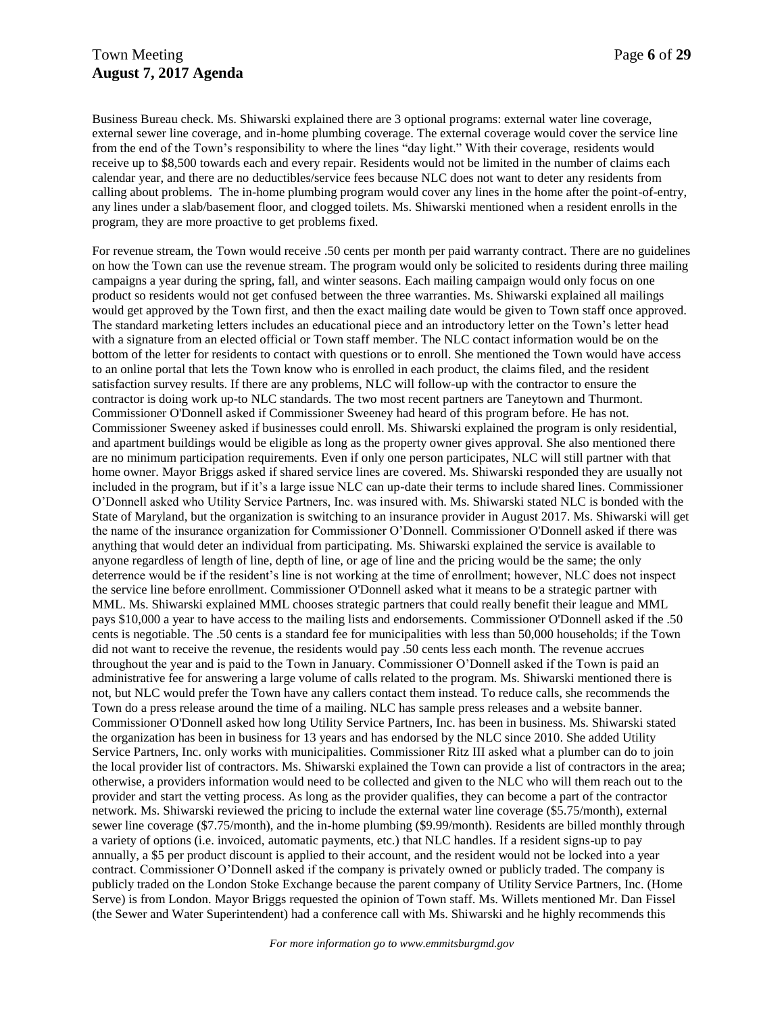## Town Meeting **Page 6** of 29 **August 7, 2017 Agenda**

Business Bureau check. Ms. Shiwarski explained there are 3 optional programs: external water line coverage, external sewer line coverage, and in-home plumbing coverage. The external coverage would cover the service line from the end of the Town's responsibility to where the lines "day light." With their coverage, residents would receive up to \$8,500 towards each and every repair. Residents would not be limited in the number of claims each calendar year, and there are no deductibles/service fees because NLC does not want to deter any residents from calling about problems. The in-home plumbing program would cover any lines in the home after the point-of-entry, any lines under a slab/basement floor, and clogged toilets. Ms. Shiwarski mentioned when a resident enrolls in the program, they are more proactive to get problems fixed.

For revenue stream, the Town would receive .50 cents per month per paid warranty contract. There are no guidelines on how the Town can use the revenue stream. The program would only be solicited to residents during three mailing campaigns a year during the spring, fall, and winter seasons. Each mailing campaign would only focus on one product so residents would not get confused between the three warranties. Ms. Shiwarski explained all mailings would get approved by the Town first, and then the exact mailing date would be given to Town staff once approved. The standard marketing letters includes an educational piece and an introductory letter on the Town's letter head with a signature from an elected official or Town staff member. The NLC contact information would be on the bottom of the letter for residents to contact with questions or to enroll. She mentioned the Town would have access to an online portal that lets the Town know who is enrolled in each product, the claims filed, and the resident satisfaction survey results. If there are any problems, NLC will follow-up with the contractor to ensure the contractor is doing work up-to NLC standards. The two most recent partners are Taneytown and Thurmont. Commissioner O'Donnell asked if Commissioner Sweeney had heard of this program before. He has not. Commissioner Sweeney asked if businesses could enroll. Ms. Shiwarski explained the program is only residential, and apartment buildings would be eligible as long as the property owner gives approval. She also mentioned there are no minimum participation requirements. Even if only one person participates, NLC will still partner with that home owner. Mayor Briggs asked if shared service lines are covered. Ms. Shiwarski responded they are usually not included in the program, but if it's a large issue NLC can up-date their terms to include shared lines. Commissioner O'Donnell asked who Utility Service Partners, Inc. was insured with. Ms. Shiwarski stated NLC is bonded with the State of Maryland, but the organization is switching to an insurance provider in August 2017. Ms. Shiwarski will get the name of the insurance organization for Commissioner O'Donnell. Commissioner O'Donnell asked if there was anything that would deter an individual from participating. Ms. Shiwarski explained the service is available to anyone regardless of length of line, depth of line, or age of line and the pricing would be the same; the only deterrence would be if the resident's line is not working at the time of enrollment; however, NLC does not inspect the service line before enrollment. Commissioner O'Donnell asked what it means to be a strategic partner with MML. Ms. Shiwarski explained MML chooses strategic partners that could really benefit their league and MML pays \$10,000 a year to have access to the mailing lists and endorsements. Commissioner O'Donnell asked if the .50 cents is negotiable. The .50 cents is a standard fee for municipalities with less than 50,000 households; if the Town did not want to receive the revenue, the residents would pay .50 cents less each month. The revenue accrues throughout the year and is paid to the Town in January. Commissioner O'Donnell asked if the Town is paid an administrative fee for answering a large volume of calls related to the program. Ms. Shiwarski mentioned there is not, but NLC would prefer the Town have any callers contact them instead. To reduce calls, she recommends the Town do a press release around the time of a mailing. NLC has sample press releases and a website banner. Commissioner O'Donnell asked how long Utility Service Partners, Inc. has been in business. Ms. Shiwarski stated the organization has been in business for 13 years and has endorsed by the NLC since 2010. She added Utility Service Partners, Inc. only works with municipalities. Commissioner Ritz III asked what a plumber can do to join the local provider list of contractors. Ms. Shiwarski explained the Town can provide a list of contractors in the area; otherwise, a providers information would need to be collected and given to the NLC who will them reach out to the provider and start the vetting process. As long as the provider qualifies, they can become a part of the contractor network. Ms. Shiwarski reviewed the pricing to include the external water line coverage (\$5.75/month), external sewer line coverage (\$7.75/month), and the in-home plumbing (\$9.99/month). Residents are billed monthly through a variety of options (i.e. invoiced, automatic payments, etc.) that NLC handles. If a resident signs-up to pay annually, a \$5 per product discount is applied to their account, and the resident would not be locked into a year contract. Commissioner O'Donnell asked if the company is privately owned or publicly traded. The company is publicly traded on the London Stoke Exchange because the parent company of Utility Service Partners, Inc. (Home Serve) is from London. Mayor Briggs requested the opinion of Town staff. Ms. Willets mentioned Mr. Dan Fissel (the Sewer and Water Superintendent) had a conference call with Ms. Shiwarski and he highly recommends this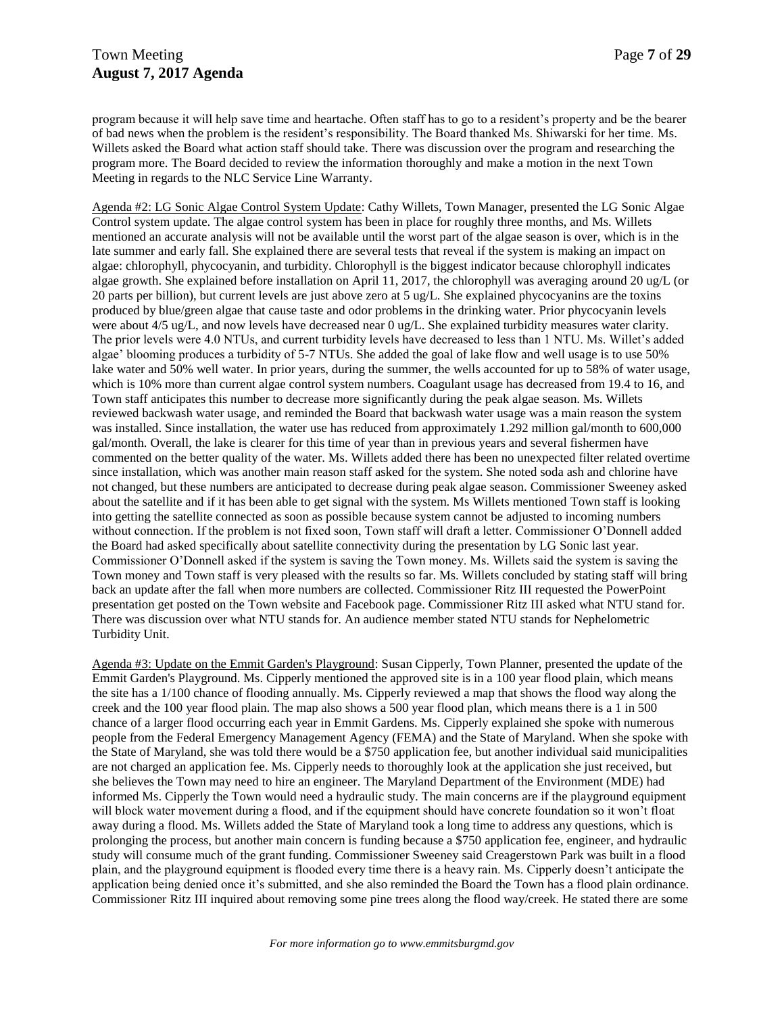program because it will help save time and heartache. Often staff has to go to a resident's property and be the bearer of bad news when the problem is the resident's responsibility. The Board thanked Ms. Shiwarski for her time. Ms. Willets asked the Board what action staff should take. There was discussion over the program and researching the program more. The Board decided to review the information thoroughly and make a motion in the next Town Meeting in regards to the NLC Service Line Warranty.

Agenda #2: LG Sonic Algae Control System Update: Cathy Willets, Town Manager, presented the LG Sonic Algae Control system update. The algae control system has been in place for roughly three months, and Ms. Willets mentioned an accurate analysis will not be available until the worst part of the algae season is over, which is in the late summer and early fall. She explained there are several tests that reveal if the system is making an impact on algae: chlorophyll, phycocyanin, and turbidity. Chlorophyll is the biggest indicator because chlorophyll indicates algae growth. She explained before installation on April 11, 2017, the chlorophyll was averaging around 20 ug/L (or 20 parts per billion), but current levels are just above zero at 5 ug/L. She explained phycocyanins are the toxins produced by blue/green algae that cause taste and odor problems in the drinking water. Prior phycocyanin levels were about 4/5 ug/L, and now levels have decreased near 0 ug/L. She explained turbidity measures water clarity. The prior levels were 4.0 NTUs, and current turbidity levels have decreased to less than 1 NTU. Ms. Willet's added algae' blooming produces a turbidity of 5-7 NTUs. She added the goal of lake flow and well usage is to use 50% lake water and 50% well water. In prior years, during the summer, the wells accounted for up to 58% of water usage, which is 10% more than current algae control system numbers. Coagulant usage has decreased from 19.4 to 16, and Town staff anticipates this number to decrease more significantly during the peak algae season. Ms. Willets reviewed backwash water usage, and reminded the Board that backwash water usage was a main reason the system was installed. Since installation, the water use has reduced from approximately 1.292 million gal/month to 600,000 gal/month. Overall, the lake is clearer for this time of year than in previous years and several fishermen have commented on the better quality of the water. Ms. Willets added there has been no unexpected filter related overtime since installation, which was another main reason staff asked for the system. She noted soda ash and chlorine have not changed, but these numbers are anticipated to decrease during peak algae season. Commissioner Sweeney asked about the satellite and if it has been able to get signal with the system. Ms Willets mentioned Town staff is looking into getting the satellite connected as soon as possible because system cannot be adjusted to incoming numbers without connection. If the problem is not fixed soon, Town staff will draft a letter. Commissioner O'Donnell added the Board had asked specifically about satellite connectivity during the presentation by LG Sonic last year. Commissioner O'Donnell asked if the system is saving the Town money. Ms. Willets said the system is saving the Town money and Town staff is very pleased with the results so far. Ms. Willets concluded by stating staff will bring back an update after the fall when more numbers are collected. Commissioner Ritz III requested the PowerPoint presentation get posted on the Town website and Facebook page. Commissioner Ritz III asked what NTU stand for. There was discussion over what NTU stands for. An audience member stated NTU stands for Nephelometric Turbidity Unit.

Agenda #3: Update on the Emmit Garden's Playground: Susan Cipperly, Town Planner, presented the update of the Emmit Garden's Playground. Ms. Cipperly mentioned the approved site is in a 100 year flood plain, which means the site has a 1/100 chance of flooding annually. Ms. Cipperly reviewed a map that shows the flood way along the creek and the 100 year flood plain. The map also shows a 500 year flood plan, which means there is a 1 in 500 chance of a larger flood occurring each year in Emmit Gardens. Ms. Cipperly explained she spoke with numerous people from the Federal Emergency Management Agency (FEMA) and the State of Maryland. When she spoke with the State of Maryland, she was told there would be a \$750 application fee, but another individual said municipalities are not charged an application fee. Ms. Cipperly needs to thoroughly look at the application she just received, but she believes the Town may need to hire an engineer. The Maryland Department of the Environment (MDE) had informed Ms. Cipperly the Town would need a hydraulic study. The main concerns are if the playground equipment will block water movement during a flood, and if the equipment should have concrete foundation so it won't float away during a flood. Ms. Willets added the State of Maryland took a long time to address any questions, which is prolonging the process, but another main concern is funding because a \$750 application fee, engineer, and hydraulic study will consume much of the grant funding. Commissioner Sweeney said Creagerstown Park was built in a flood plain, and the playground equipment is flooded every time there is a heavy rain. Ms. Cipperly doesn't anticipate the application being denied once it's submitted, and she also reminded the Board the Town has a flood plain ordinance. Commissioner Ritz III inquired about removing some pine trees along the flood way/creek. He stated there are some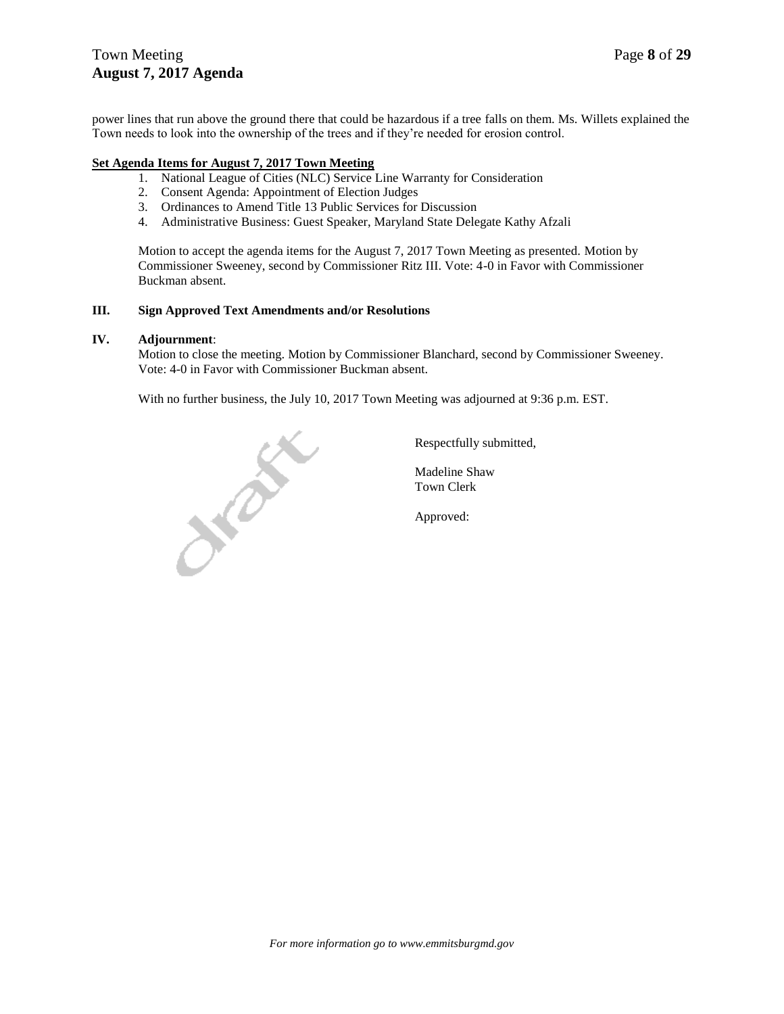## Town Meeting Page 8 of 29 **August 7, 2017 Agenda**

power lines that run above the ground there that could be hazardous if a tree falls on them. Ms. Willets explained the Town needs to look into the ownership of the trees and if they're needed for erosion control.

### **Set Agenda Items for August 7, 2017 Town Meeting**

- 1. National League of Cities (NLC) Service Line Warranty for Consideration
- 2. Consent Agenda: Appointment of Election Judges
- 3. Ordinances to Amend Title 13 Public Services for Discussion
- 4. Administrative Business: Guest Speaker, Maryland State Delegate Kathy Afzali

Motion to accept the agenda items for the August 7, 2017 Town Meeting as presented. Motion by Commissioner Sweeney, second by Commissioner Ritz III. Vote: 4-0 in Favor with Commissioner Buckman absent.

### **III. Sign Approved Text Amendments and/or Resolutions**

### **IV. Adjournment**:

Motion to close the meeting. Motion by Commissioner Blanchard, second by Commissioner Sweeney. Vote: 4-0 in Favor with Commissioner Buckman absent.

With no further business, the July 10, 2017 Town Meeting was adjourned at 9:36 p.m. EST.



Respectfully submitted,

Madeline Shaw Town Clerk

Approved: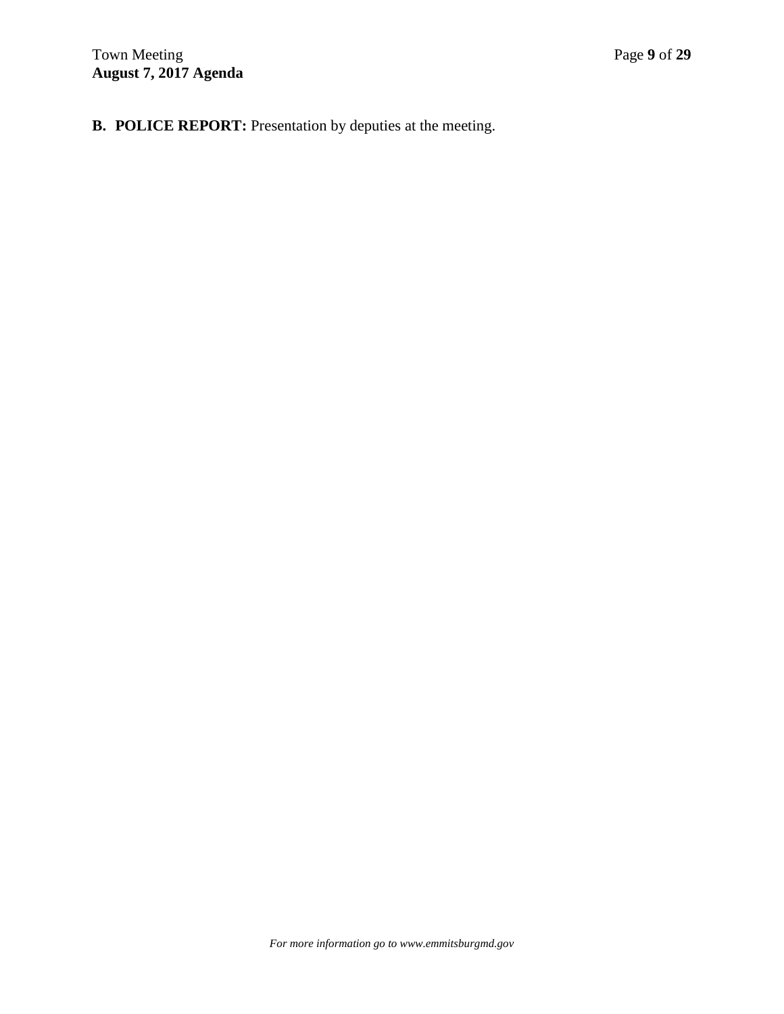**B. POLICE REPORT:** Presentation by deputies at the meeting.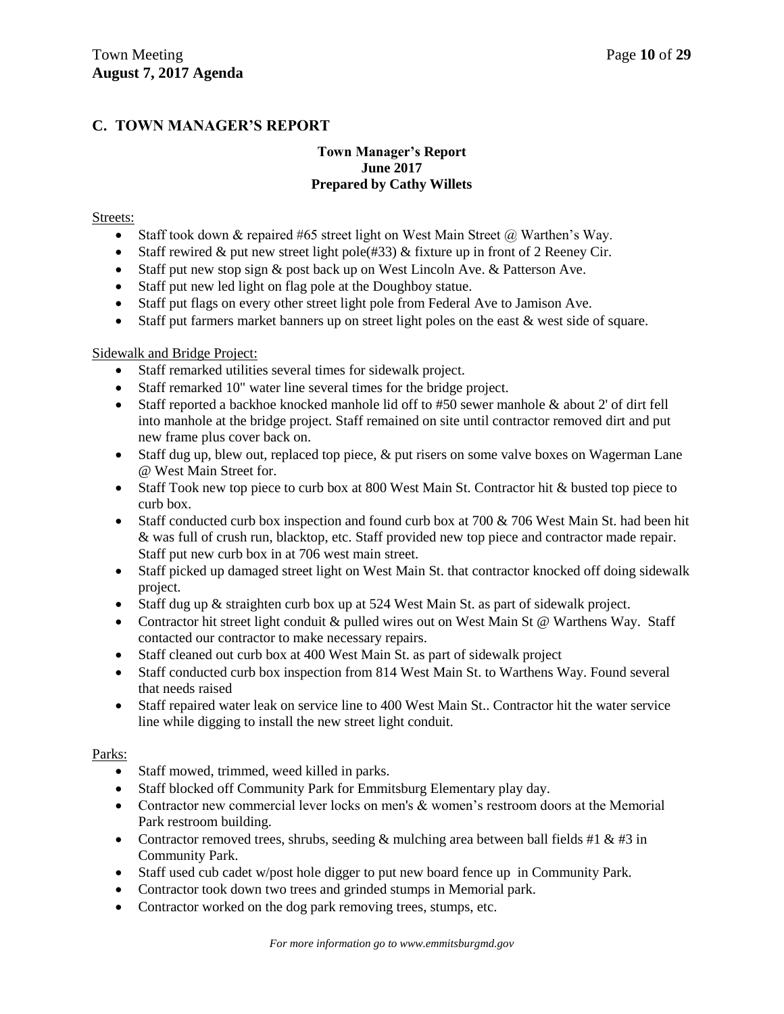## **C. TOWN MANAGER'S REPORT**

## **Town Manager's Report June 2017 Prepared by Cathy Willets**

## Streets:

- Staff took down  $\&$  repaired #65 street light on West Main Street  $\omega$  Warthen's Way.
- Staff rewired & put new street light pole  $(#33)$  & fixture up in front of 2 Reeney Cir.
- Staff put new stop sign & post back up on West Lincoln Ave. & Patterson Ave.
- Staff put new led light on flag pole at the Doughboy statue.
- Staff put flags on every other street light pole from Federal Ave to Jamison Ave.
- Staff put farmers market banners up on street light poles on the east & west side of square.

## Sidewalk and Bridge Project:

- Staff remarked utilities several times for sidewalk project.
- Staff remarked 10" water line several times for the bridge project.
- Staff reported a backhoe knocked manhole lid off to #50 sewer manhole & about 2' of dirt fell into manhole at the bridge project. Staff remained on site until contractor removed dirt and put new frame plus cover back on.
- Staff dug up, blew out, replaced top piece, & put risers on some valve boxes on Wagerman Lane @ West Main Street for.
- Staff Took new top piece to curb box at 800 West Main St. Contractor hit & busted top piece to curb box.
- Staff conducted curb box inspection and found curb box at 700 & 706 West Main St. had been hit & was full of crush run, blacktop, etc. Staff provided new top piece and contractor made repair. Staff put new curb box in at 706 west main street.
- Staff picked up damaged street light on West Main St. that contractor knocked off doing sidewalk project.
- Staff dug up & straighten curb box up at 524 West Main St. as part of sidewalk project.
- Contractor hit street light conduit & pulled wires out on West Main St @ Warthens Way. Staff contacted our contractor to make necessary repairs.
- Staff cleaned out curb box at 400 West Main St. as part of sidewalk project
- Staff conducted curb box inspection from 814 West Main St. to Warthens Way. Found several that needs raised
- Staff repaired water leak on service line to 400 West Main St.. Contractor hit the water service line while digging to install the new street light conduit.

### Parks:

- Staff mowed, trimmed, weed killed in parks.
- Staff blocked off Community Park for Emmitsburg Elementary play day.
- Contractor new commercial lever locks on men's  $\&$  women's restroom doors at the Memorial Park restroom building.
- Contractor removed trees, shrubs, seeding & mulching area between ball fields #1 & #3 in Community Park.
- Staff used cub cadet w/post hole digger to put new board fence up in Community Park.
- Contractor took down two trees and grinded stumps in Memorial park.
- Contractor worked on the dog park removing trees, stumps, etc.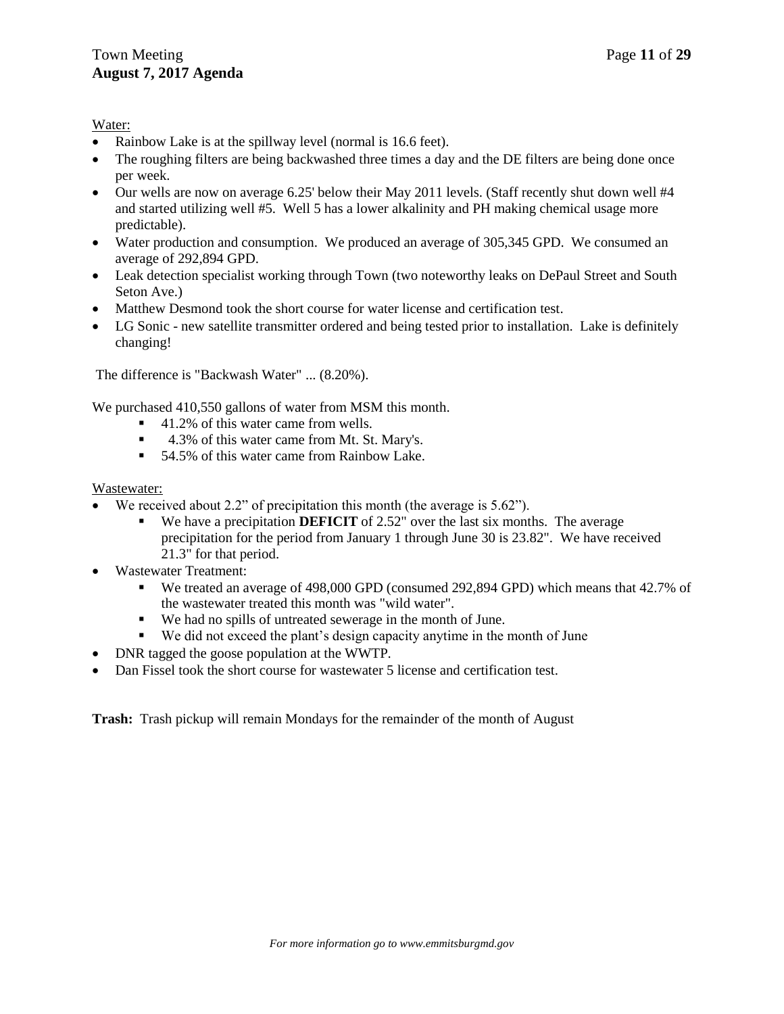### Water:

- Rainbow Lake is at the spillway level (normal is 16.6 feet).
- The roughing filters are being backwashed three times a day and the DE filters are being done once per week.
- $\bullet$  Our wells are now on average 6.25' below their May 2011 levels. (Staff recently shut down well #4 and started utilizing well #5. Well 5 has a lower alkalinity and PH making chemical usage more predictable).
- Water production and consumption. We produced an average of 305,345 GPD. We consumed an average of 292,894 GPD.
- Leak detection specialist working through Town (two noteworthy leaks on DePaul Street and South Seton Ave.)
- Matthew Desmond took the short course for water license and certification test.
- LG Sonic new satellite transmitter ordered and being tested prior to installation. Lake is definitely changing!

The difference is "Backwash Water" ... (8.20%).

We purchased 410,550 gallons of water from MSM this month.

- 41.2% of this water came from wells.
- 4.3% of this water came from Mt. St. Mary's.
- 54.5% of this water came from Rainbow Lake.

### Wastewater:

- We received about 2.2" of precipitation this month (the average is 5.62").
	- We have a precipitation **DEFICIT** of 2.52" over the last six months. The average precipitation for the period from January 1 through June 30 is 23.82". We have received 21.3" for that period.
- Wastewater Treatment:
	- We treated an average of 498,000 GPD (consumed 292,894 GPD) which means that 42.7% of the wastewater treated this month was "wild water".
	- We had no spills of untreated sewerage in the month of June.
	- We did not exceed the plant's design capacity anytime in the month of June
- DNR tagged the goose population at the WWTP.
- Dan Fissel took the short course for wastewater 5 license and certification test.

**Trash:** Trash pickup will remain Mondays for the remainder of the month of August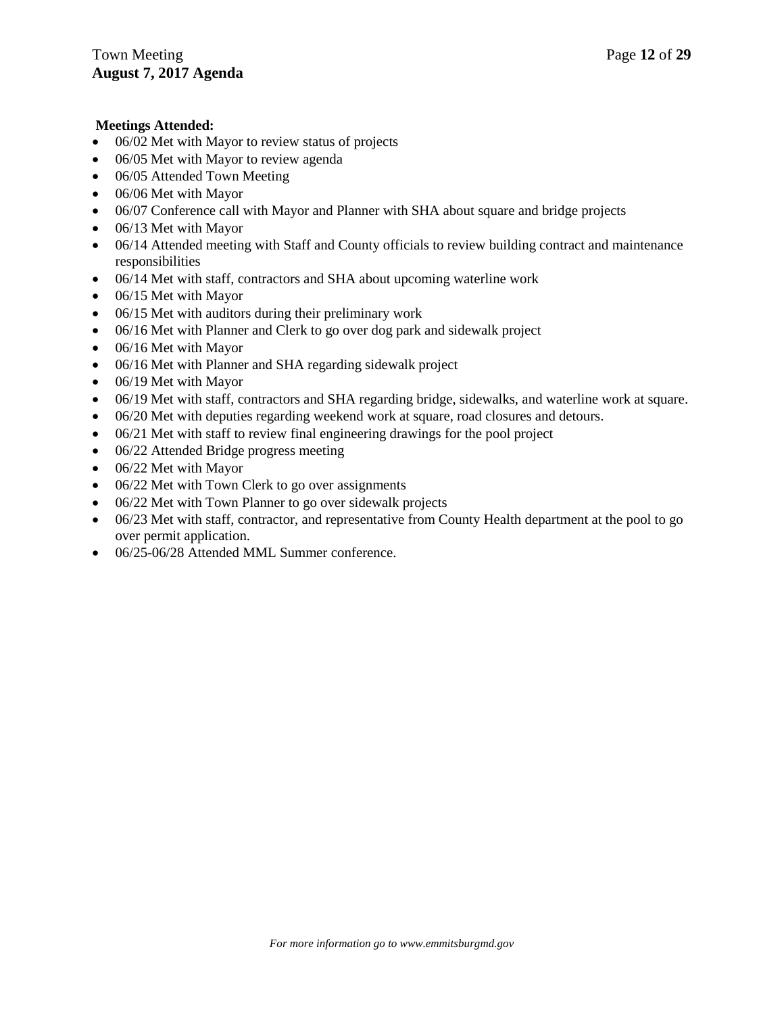## **Meetings Attended:**

- 06/02 Met with Mayor to review status of projects
- 06/05 Met with Mayor to review agenda
- 06/05 Attended Town Meeting
- 06/06 Met with Mayor
- 06/07 Conference call with Mayor and Planner with SHA about square and bridge projects
- 06/13 Met with Mayor
- 06/14 Attended meeting with Staff and County officials to review building contract and maintenance responsibilities
- 06/14 Met with staff, contractors and SHA about upcoming waterline work
- 06/15 Met with Mayor
- 06/15 Met with auditors during their preliminary work
- 06/16 Met with Planner and Clerk to go over dog park and sidewalk project
- 06/16 Met with Mayor
- 06/16 Met with Planner and SHA regarding sidewalk project
- 06/19 Met with Mayor
- 06/19 Met with staff, contractors and SHA regarding bridge, sidewalks, and waterline work at square.
- 06/20 Met with deputies regarding weekend work at square, road closures and detours.
- 06/21 Met with staff to review final engineering drawings for the pool project
- 06/22 Attended Bridge progress meeting
- 06/22 Met with Mayor
- 06/22 Met with Town Clerk to go over assignments
- 06/22 Met with Town Planner to go over sidewalk projects
- 06/23 Met with staff, contractor, and representative from County Health department at the pool to go over permit application.
- $\bullet$  06/25-06/28 Attended MML Summer conference.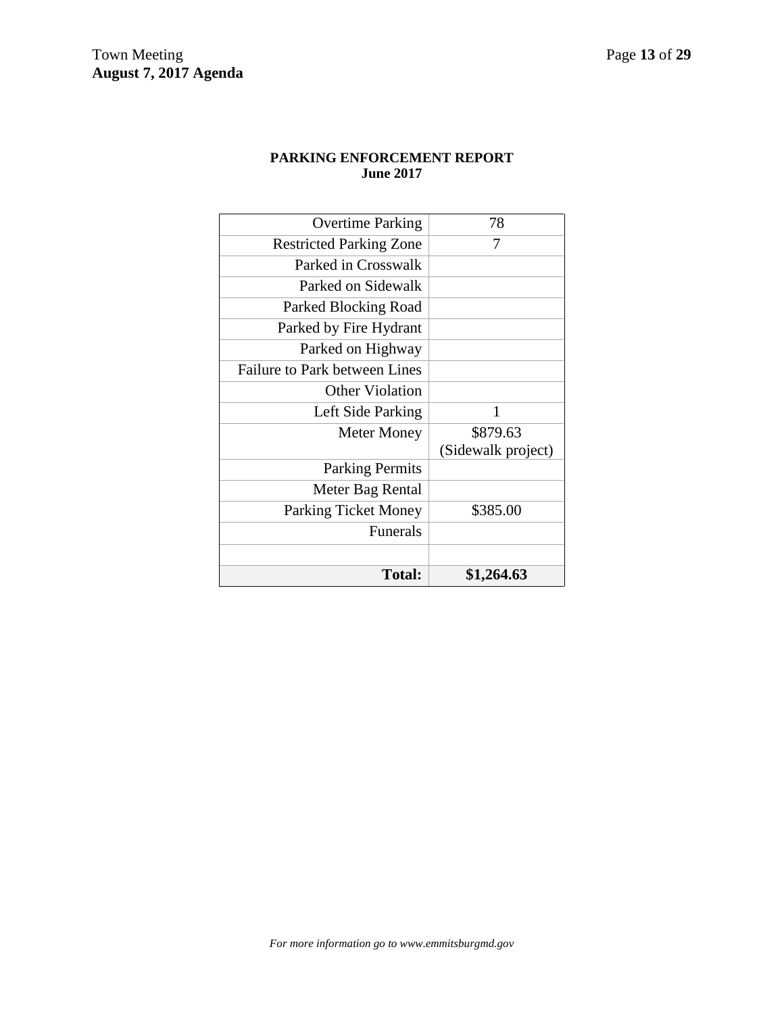## **PARKING ENFORCEMENT REPORT June 2017**

| \$1,264.63         |
|--------------------|
|                    |
|                    |
| \$385.00           |
|                    |
|                    |
| (Sidewalk project) |
| \$879.63           |
| 1                  |
|                    |
|                    |
|                    |
|                    |
|                    |
|                    |
|                    |
| 7                  |
| 78                 |
|                    |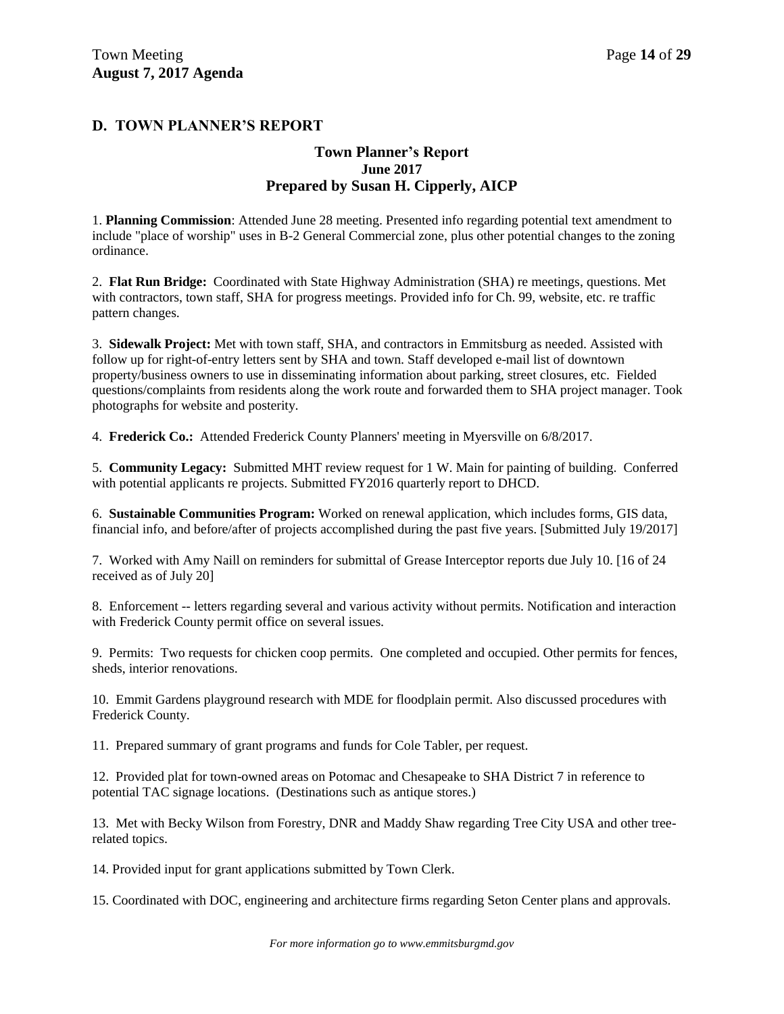## **D. TOWN PLANNER'S REPORT**

## **Town Planner's Report June 2017 Prepared by Susan H. Cipperly, AICP**

1. **Planning Commission**: Attended June 28 meeting. Presented info regarding potential text amendment to include "place of worship" uses in B-2 General Commercial zone, plus other potential changes to the zoning ordinance.

2. **Flat Run Bridge:** Coordinated with State Highway Administration (SHA) re meetings, questions. Met with contractors, town staff, SHA for progress meetings. Provided info for Ch. 99, website, etc. re traffic pattern changes.

3. **Sidewalk Project:** Met with town staff, SHA, and contractors in Emmitsburg as needed. Assisted with follow up for right-of-entry letters sent by SHA and town. Staff developed e-mail list of downtown property/business owners to use in disseminating information about parking, street closures, etc. Fielded questions/complaints from residents along the work route and forwarded them to SHA project manager. Took photographs for website and posterity.

4. **Frederick Co.:** Attended Frederick County Planners' meeting in Myersville on 6/8/2017.

5. **Community Legacy:** Submitted MHT review request for 1 W. Main for painting of building. Conferred with potential applicants re projects. Submitted FY2016 quarterly report to DHCD.

6. **Sustainable Communities Program:** Worked on renewal application, which includes forms, GIS data, financial info, and before/after of projects accomplished during the past five years. [Submitted July 19/2017]

7. Worked with Amy Naill on reminders for submittal of Grease Interceptor reports due July 10. [16 of 24 received as of July 20]

8. Enforcement -- letters regarding several and various activity without permits. Notification and interaction with Frederick County permit office on several issues.

9. Permits: Two requests for chicken coop permits. One completed and occupied. Other permits for fences, sheds, interior renovations.

10. Emmit Gardens playground research with MDE for floodplain permit. Also discussed procedures with Frederick County.

11. Prepared summary of grant programs and funds for Cole Tabler, per request.

12. Provided plat for town-owned areas on Potomac and Chesapeake to SHA District 7 in reference to potential TAC signage locations. (Destinations such as antique stores.)

13. Met with Becky Wilson from Forestry, DNR and Maddy Shaw regarding Tree City USA and other treerelated topics.

14. Provided input for grant applications submitted by Town Clerk.

15. Coordinated with DOC, engineering and architecture firms regarding Seton Center plans and approvals.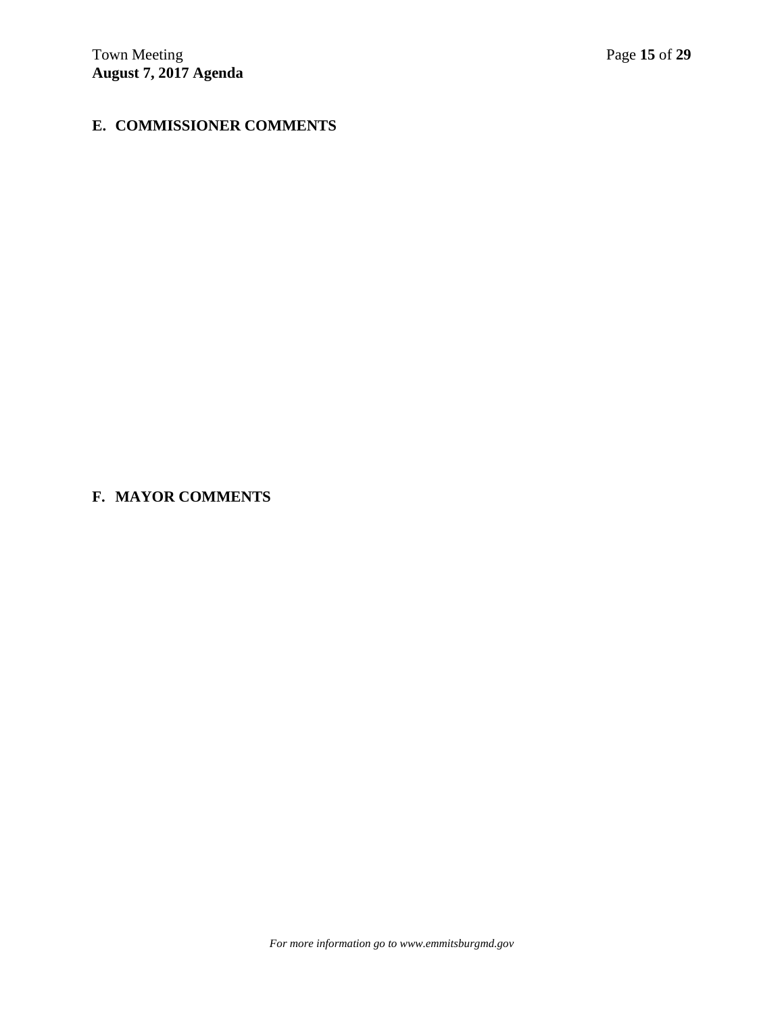## **E. COMMISSIONER COMMENTS**

# **F. MAYOR COMMENTS**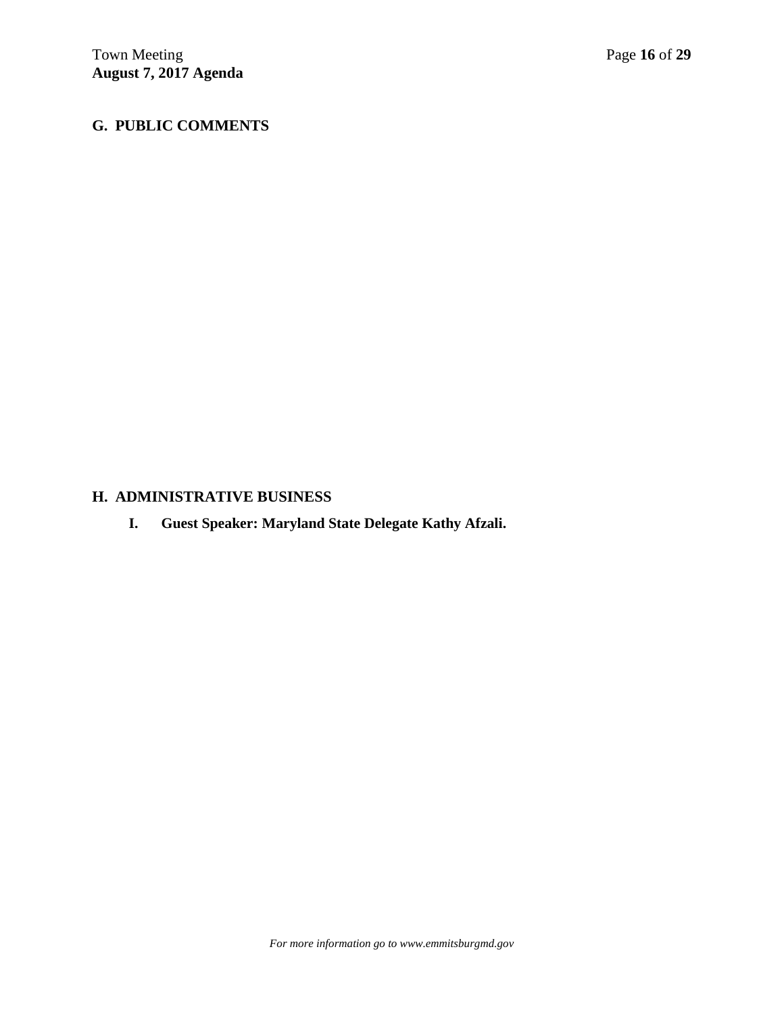## **G. PUBLIC COMMENTS**

## **H. ADMINISTRATIVE BUSINESS**

**I. Guest Speaker: Maryland State Delegate Kathy Afzali.**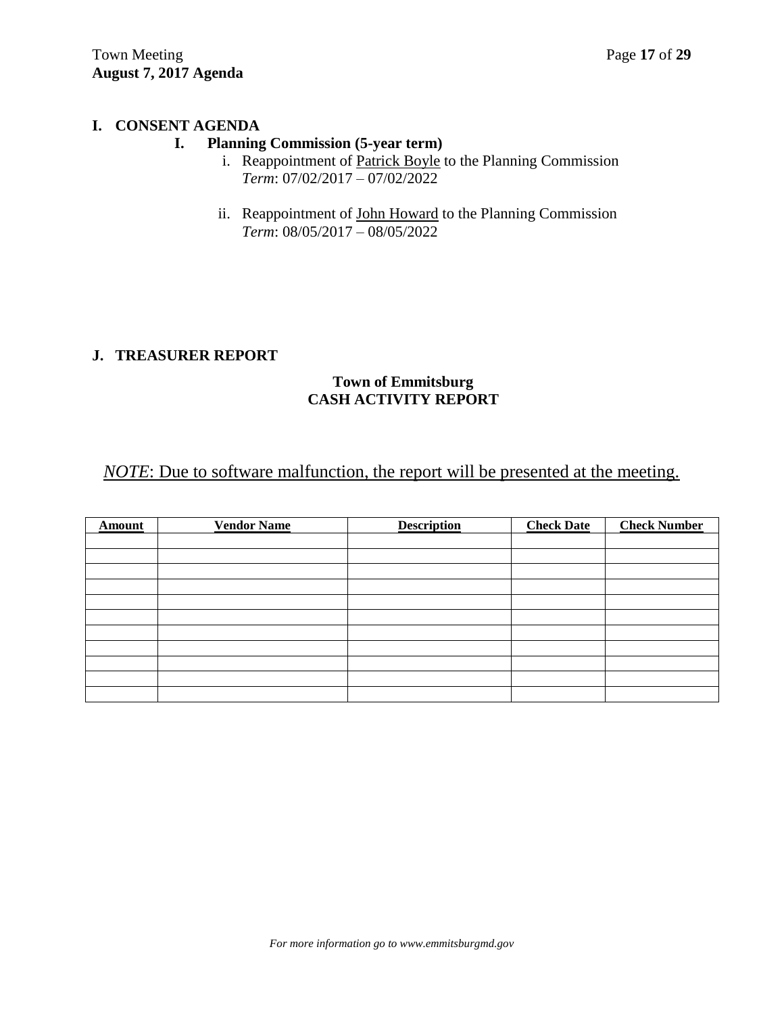## **I. CONSENT AGENDA**

## **I. Planning Commission (5-year term)**

- i. Reappointment of Patrick Boyle to the Planning Commission *Term*: 07/02/2017 – 07/02/2022
- ii. Reappointment of John Howard to the Planning Commission *Term*: 08/05/2017 – 08/05/2022

## **J. TREASURER REPORT**

## **Town of Emmitsburg CASH ACTIVITY REPORT**

# *NOTE*: Due to software malfunction, the report will be presented at the meeting.

| <b>Amount</b> | <b>Vendor Name</b> | <b>Description</b> | <b>Check Date</b> | <b>Check Number</b> |
|---------------|--------------------|--------------------|-------------------|---------------------|
|               |                    |                    |                   |                     |
|               |                    |                    |                   |                     |
|               |                    |                    |                   |                     |
|               |                    |                    |                   |                     |
|               |                    |                    |                   |                     |
|               |                    |                    |                   |                     |
|               |                    |                    |                   |                     |
|               |                    |                    |                   |                     |
|               |                    |                    |                   |                     |
|               |                    |                    |                   |                     |
|               |                    |                    |                   |                     |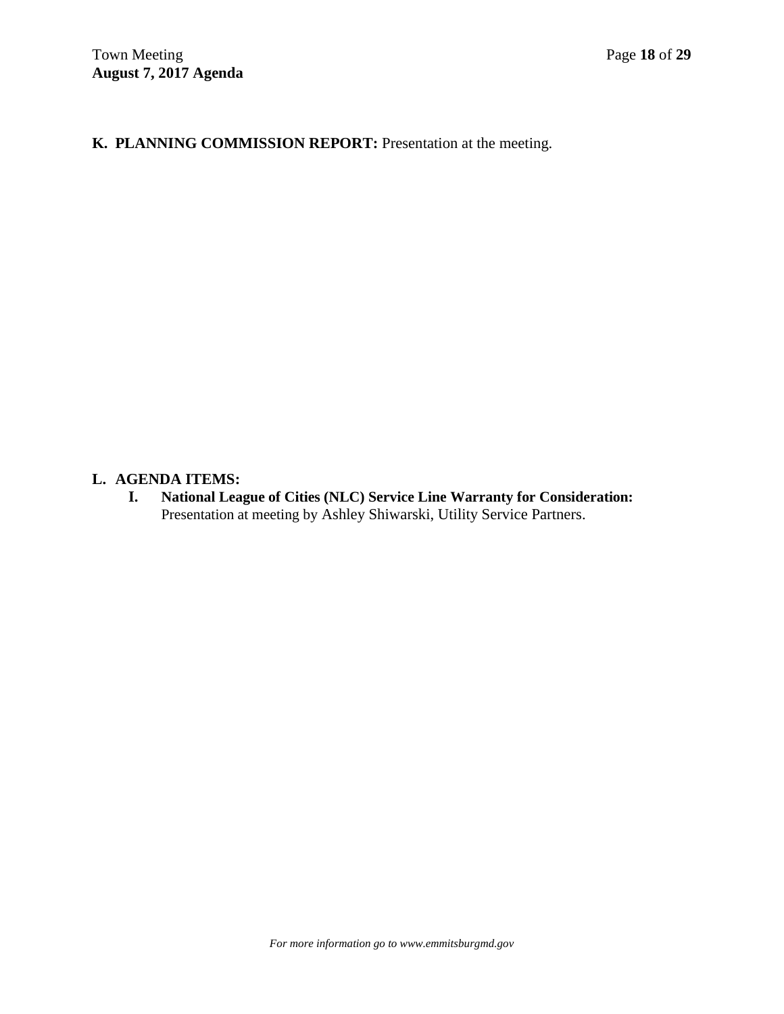# **K. PLANNING COMMISSION REPORT:** Presentation at the meeting.

## **L. AGENDA ITEMS:**

**I. National League of Cities (NLC) Service Line Warranty for Consideration:** Presentation at meeting by Ashley Shiwarski, Utility Service Partners.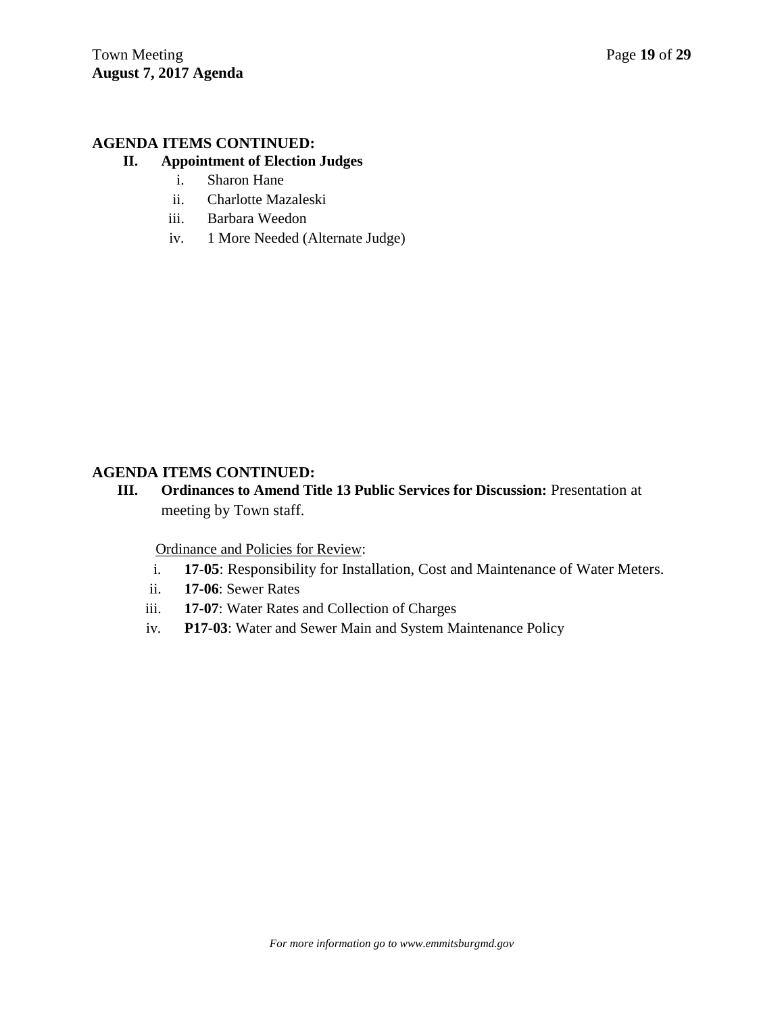## **AGENDA ITEMS CONTINUED:**

## **II. Appointment of Election Judges**

- i. Sharon Hane
- ii. Charlotte Mazaleski
- iii. Barbara Weedon
- iv. 1 More Needed (Alternate Judge)

## **AGENDA ITEMS CONTINUED:**

**III. Ordinances to Amend Title 13 Public Services for Discussion:** Presentation at meeting by Town staff.

Ordinance and Policies for Review:

- i. **17-05**: Responsibility for Installation, Cost and Maintenance of Water Meters.
- ii. **17-06**: Sewer Rates
- iii. **17-07**: Water Rates and Collection of Charges
- iv. **P17-03**: Water and Sewer Main and System Maintenance Policy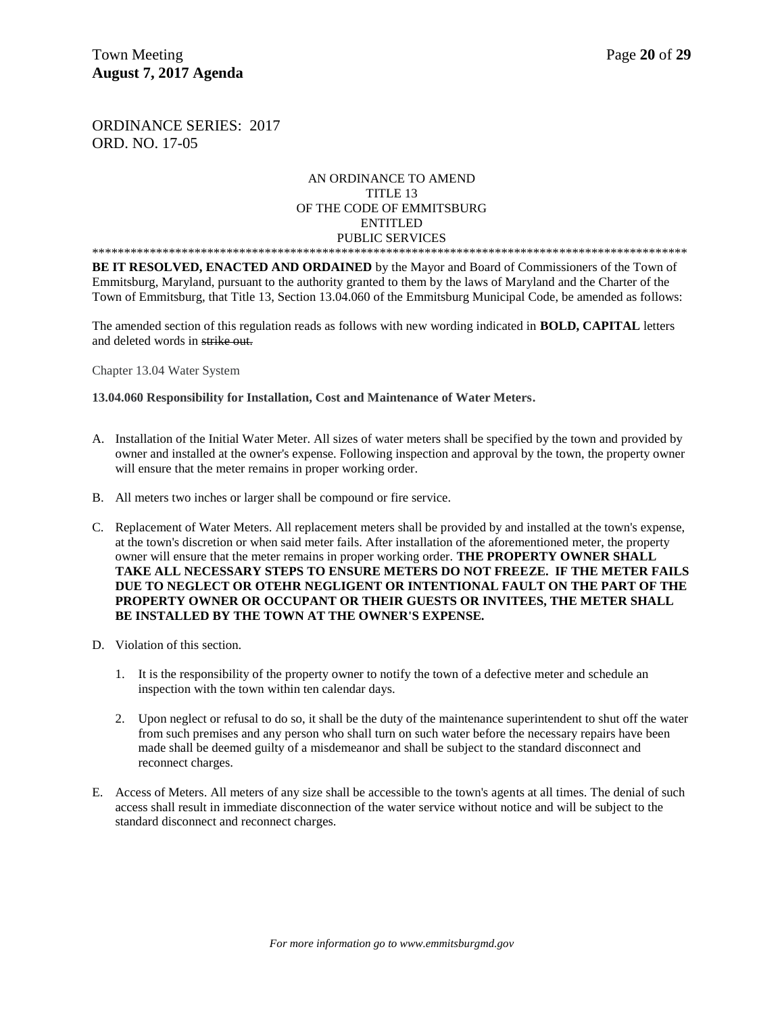ORDINANCE SERIES: 2017 ORD. NO. 17-05

#### AN ORDINANCE TO AMEND TITLE 13 OF THE CODE OF EMMITSBURG ENTITLED PUBLIC SERVICES \*\*\*\*\*\*\*\*\*\*\*\*\*\*\*\*\*\*\*\*\*\*\*\*\*\*\*\*\*\*\*\*\*\*\*\*\*\*\*\*\*\*\*\*\*\*\*\*\*\*\*\*\*\*\*\*\*\*\*\*\*\*\*\*\*\*\*\*\*\*\*\*\*\*\*\*\*\*\*\*\*\*\*\*\*\*\*\*\*\*\*\*\*

**BE IT RESOLVED, ENACTED AND ORDAINED** by the Mayor and Board of Commissioners of the Town of Emmitsburg, Maryland, pursuant to the authority granted to them by the laws of Maryland and the Charter of the Town of Emmitsburg, that Title 13, Section 13.04.060 of the Emmitsburg Municipal Code, be amended as follows:

The amended section of this regulation reads as follows with new wording indicated in **BOLD, CAPITAL** letters and deleted words in strike out.

Chapter 13.04 Water System

**13.04.060 Responsibility for Installation, Cost and Maintenance of Water Meters.**

- A. Installation of the Initial Water Meter. All sizes of water meters shall be specified by the town and provided by owner and installed at the owner's expense. Following inspection and approval by the town, the property owner will ensure that the meter remains in proper working order.
- B. All meters two inches or larger shall be compound or fire service.
- C. Replacement of Water Meters. All replacement meters shall be provided by and installed at the town's expense, at the town's discretion or when said meter fails. After installation of the aforementioned meter, the property owner will ensure that the meter remains in proper working order. **THE PROPERTY OWNER SHALL TAKE ALL NECESSARY STEPS TO ENSURE METERS DO NOT FREEZE. IF THE METER FAILS DUE TO NEGLECT OR OTEHR NEGLIGENT OR INTENTIONAL FAULT ON THE PART OF THE PROPERTY OWNER OR OCCUPANT OR THEIR GUESTS OR INVITEES, THE METER SHALL BE INSTALLED BY THE TOWN AT THE OWNER'S EXPENSE.**
- D. Violation of this section.
	- 1. It is the responsibility of the property owner to notify the town of a defective meter and schedule an inspection with the town within ten calendar days.
	- 2. Upon neglect or refusal to do so, it shall be the duty of the maintenance superintendent to shut off the water from such premises and any person who shall turn on such water before the necessary repairs have been made shall be deemed guilty of a misdemeanor and shall be subject to the standard disconnect and reconnect charges.
- E. Access of Meters. All meters of any size shall be accessible to the town's agents at all times. The denial of such access shall result in immediate disconnection of the water service without notice and will be subject to the standard disconnect and reconnect charges.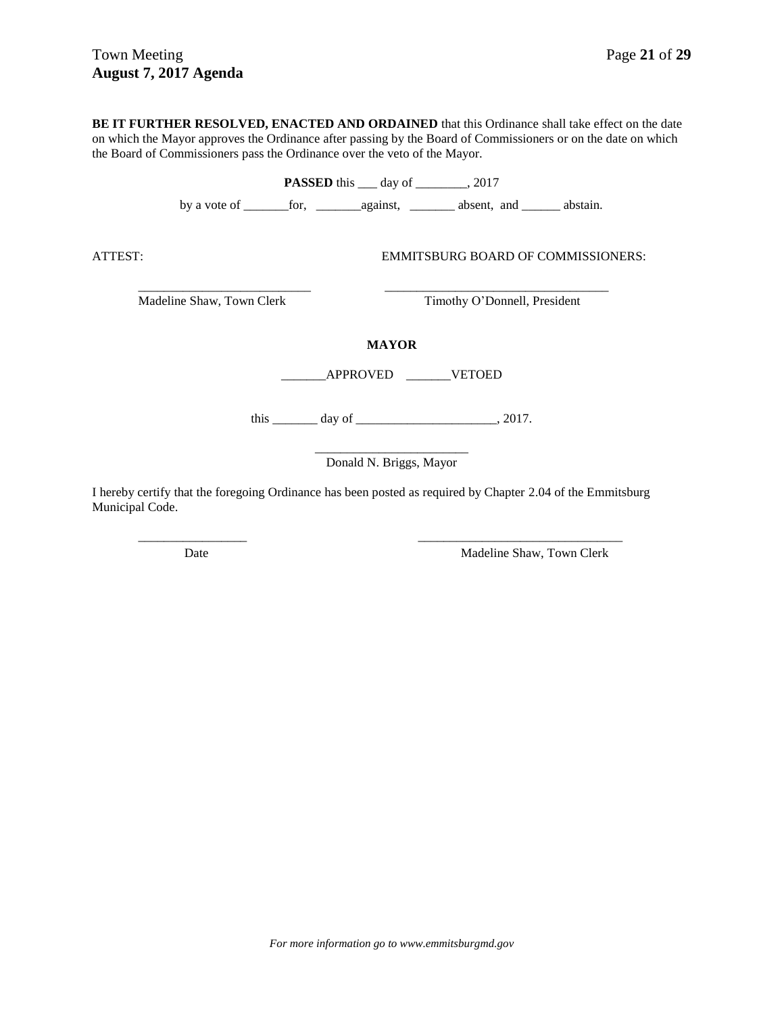**BE IT FURTHER RESOLVED, ENACTED AND ORDAINED** that this Ordinance shall take effect on the date on which the Mayor approves the Ordinance after passing by the Board of Commissioners or on the date on which the Board of Commissioners pass the Ordinance over the veto of the Mayor.

**PASSED** this \_\_\_ day of \_\_\_\_\_\_\_, 2017 by a vote of \_\_\_\_\_\_\_for, \_\_\_\_\_\_\_against, \_\_\_\_\_\_\_ absent, and \_\_\_\_\_\_ abstain. ATTEST: EMMITSBURG BOARD OF COMMISSIONERS: \_\_\_\_\_\_\_\_\_\_\_\_\_\_\_\_\_\_\_\_\_\_\_\_\_\_\_ \_\_\_\_\_\_\_\_\_\_\_\_\_\_\_\_\_\_\_\_\_\_\_\_\_\_\_\_\_\_\_\_\_\_\_ Madeline Shaw, Town Clerk Timothy O'Donnell, President **MAYOR** \_\_\_\_\_\_\_APPROVED \_\_\_\_\_\_\_VETOED this \_\_\_\_\_\_\_\_\_ day of \_\_\_\_\_\_\_\_\_\_\_\_\_\_\_\_\_\_\_\_\_\_\_\_\_\_, 2017. \_\_\_\_\_\_\_\_\_\_\_\_\_\_\_\_\_\_\_\_\_\_\_\_ Donald N. Briggs, Mayor I hereby certify that the foregoing Ordinance has been posted as required by Chapter 2.04 of the Emmitsburg

\_\_\_\_\_\_\_\_\_\_\_\_\_\_\_\_\_ \_\_\_\_\_\_\_\_\_\_\_\_\_\_\_\_\_\_\_\_\_\_\_\_\_\_\_\_\_\_\_\_

Municipal Code.

Date Madeline Shaw, Town Clerk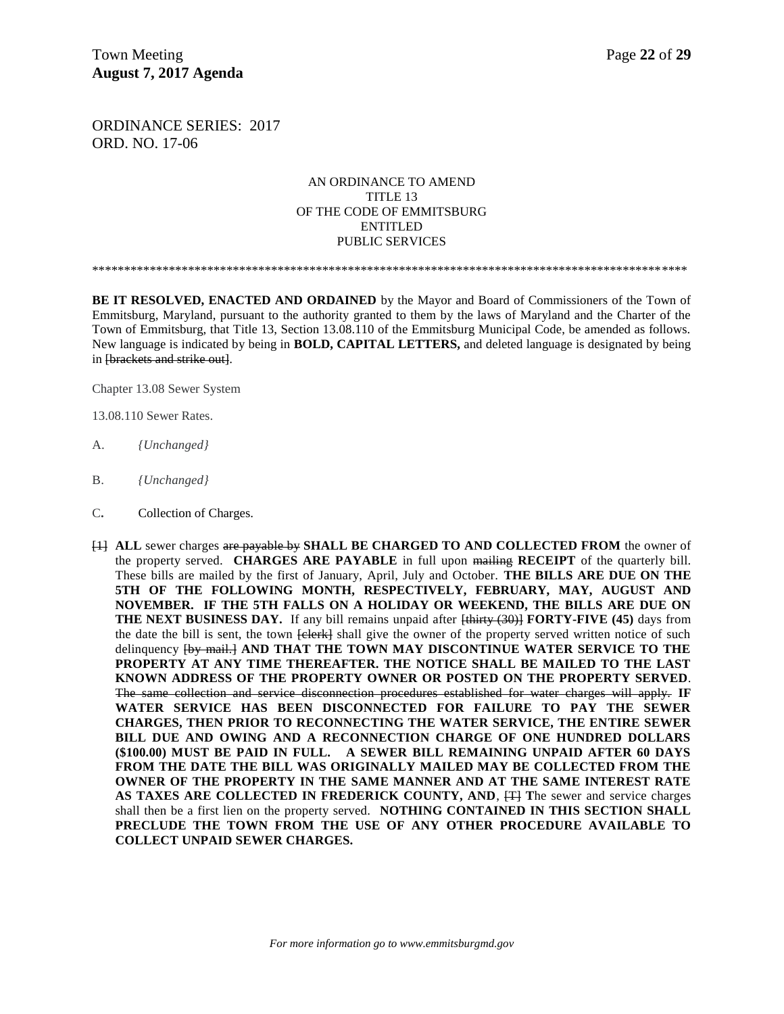Town Meeting **Page 22** of 29 **August 7, 2017 Agenda** 

ORDINANCE SERIES: 2017 ORD. NO. 17-06

### AN ORDINANCE TO AMEND TITLE 13 OF THE CODE OF EMMITSBURG ENTITLED PUBLIC SERVICES

\*\*\*\*\*\*\*\*\*\*\*\*\*\*\*\*\*\*\*\*\*\*\*\*\*\*\*\*\*\*\*\*\*\*\*\*\*\*\*\*\*\*\*\*\*\*\*\*\*\*\*\*\*\*\*\*\*\*\*\*\*\*\*\*\*\*\*\*\*\*\*\*\*\*\*\*\*\*\*\*\*\*\*\*\*\*\*\*\*\*\*\*\*

**BE IT RESOLVED, ENACTED AND ORDAINED** by the Mayor and Board of Commissioners of the Town of Emmitsburg, Maryland, pursuant to the authority granted to them by the laws of Maryland and the Charter of the Town of Emmitsburg, that Title 13, Section 13.08.110 of the Emmitsburg Municipal Code, be amended as follows. New language is indicated by being in **BOLD, CAPITAL LETTERS,** and deleted language is designated by being in [brackets and strike out].

Chapter 13.08 Sewer System

13.08.110 Sewer Rates.

- A. *{Unchanged}*
- B. *{Unchanged}*
- C**.** Collection of Charges.
- [1] **ALL** sewer charges are payable by **SHALL BE CHARGED TO AND COLLECTED FROM** the owner of the property served. **CHARGES ARE PAYABLE** in full upon mailing **RECEIPT** of the quarterly bill. These bills are mailed by the first of January, April, July and October. **THE BILLS ARE DUE ON THE 5TH OF THE FOLLOWING MONTH, RESPECTIVELY, FEBRUARY, MAY, AUGUST AND NOVEMBER. IF THE 5TH FALLS ON A HOLIDAY OR WEEKEND, THE BILLS ARE DUE ON THE NEXT BUSINESS DAY.** If any bill remains unpaid after  $\frac{1}{2}$  **FORTY-FIVE** (45) days from the date the bill is sent, the town  $\overline{\text{eleerk}}$  shall give the owner of the property served written notice of such delinquency [by mail.] **AND THAT THE TOWN MAY DISCONTINUE WATER SERVICE TO THE PROPERTY AT ANY TIME THEREAFTER. THE NOTICE SHALL BE MAILED TO THE LAST KNOWN ADDRESS OF THE PROPERTY OWNER OR POSTED ON THE PROPERTY SERVED**. The same collection and service disconnection procedures established for water charges will apply. **IF WATER SERVICE HAS BEEN DISCONNECTED FOR FAILURE TO PAY THE SEWER CHARGES, THEN PRIOR TO RECONNECTING THE WATER SERVICE, THE ENTIRE SEWER BILL DUE AND OWING AND A RECONNECTION CHARGE OF ONE HUNDRED DOLLARS (\$100.00) MUST BE PAID IN FULL. A SEWER BILL REMAINING UNPAID AFTER 60 DAYS FROM THE DATE THE BILL WAS ORIGINALLY MAILED MAY BE COLLECTED FROM THE OWNER OF THE PROPERTY IN THE SAME MANNER AND AT THE SAME INTEREST RATE**  AS TAXES ARE COLLECTED IN FREDERICK COUNTY, AND,  $\ddot{H}$  The sewer and service charges shall then be a first lien on the property served. **NOTHING CONTAINED IN THIS SECTION SHALL PRECLUDE THE TOWN FROM THE USE OF ANY OTHER PROCEDURE AVAILABLE TO COLLECT UNPAID SEWER CHARGES.**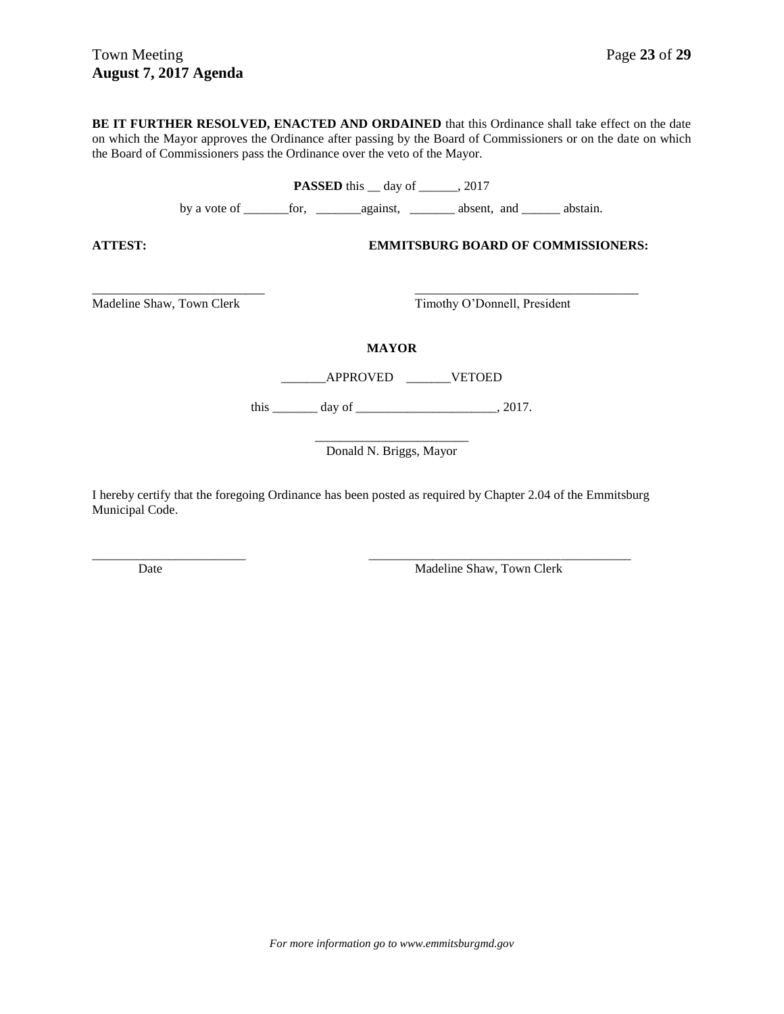**BE IT FURTHER RESOLVED, ENACTED AND ORDAINED** that this Ordinance shall take effect on the date on which the Mayor approves the Ordinance after passing by the Board of Commissioners or on the date on which the Board of Commissioners pass the Ordinance over the veto of the Mayor.

**PASSED** this \_\_ day of \_\_\_\_\_, 2017 by a vote of \_\_\_\_\_\_\_for, \_\_\_\_\_\_\_against, \_\_\_\_\_\_\_ absent, and \_\_\_\_\_\_ abstain. **ATTEST: EMMITSBURG BOARD OF COMMISSIONERS:** \_\_\_\_\_\_\_\_\_\_\_\_\_\_\_\_\_\_\_\_\_\_\_\_\_\_\_ \_\_\_\_\_\_\_\_\_\_\_\_\_\_\_\_\_\_\_\_\_\_\_\_\_\_\_\_\_\_\_\_\_\_\_ Madeline Shaw, Town Clerk Timothy O'Donnell, President **MAYOR** \_\_\_\_\_\_\_APPROVED \_\_\_\_\_\_\_VETOED this \_\_\_\_\_\_\_\_\_ day of \_\_\_\_\_\_\_\_\_\_\_\_\_\_\_\_\_\_\_\_\_\_\_, 2017. \_\_\_\_\_\_\_\_\_\_\_\_\_\_\_\_\_\_\_\_\_\_\_\_ Donald N. Briggs, Mayor

I hereby certify that the foregoing Ordinance has been posted as required by Chapter 2.04 of the Emmitsburg Municipal Code.

\_\_\_\_\_\_\_\_\_\_\_\_\_\_\_\_\_\_\_\_\_\_\_\_ \_\_\_\_\_\_\_\_\_\_\_\_\_\_\_\_\_\_\_\_\_\_\_\_\_\_\_\_\_\_\_\_\_\_\_\_\_\_\_\_\_

Date Madeline Shaw, Town Clerk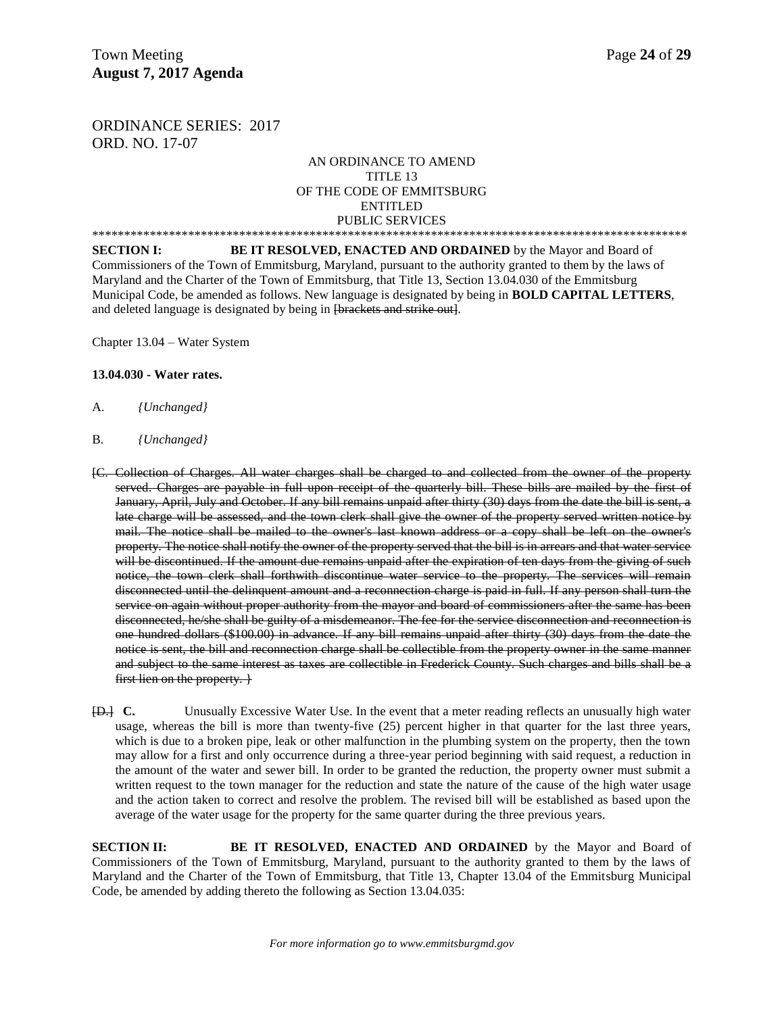ORDINANCE SERIES: 2017 ORD. NO. 17-07

### AN ORDINANCE TO AMEND TITLE 13 OF THE CODE OF EMMITSBURG ENTITLED PUBLIC SERVICES

\*\*\*\*\*\*\*\*\*\*\*\*\*\*\*\*\*\*\*\*\*\*\*\*\*\*\*\*\*\*\*\*\*\*\*\*\*\*\*\*\*\*\*\*\*\*\*\*\*\*\*\*\*\*\*\*\*\*\*\*\*\*\*\*\*\*\*\*\*\*\*\*\*\*\*\*\*\*\*\*\*\*\*\*\*\*\*\*\*\*\*\*\* **SECTION I:** BE IT RESOLVED, ENACTED AND ORDAINED by the Mayor and Board of Commissioners of the Town of Emmitsburg, Maryland, pursuant to the authority granted to them by the laws of Maryland and the Charter of the Town of Emmitsburg, that Title 13, Section 13.04.030 of the Emmitsburg Municipal Code, be amended as follows. New language is designated by being in **BOLD CAPITAL LETTERS**, and deleted language is designated by being in [brackets and strike out].

Chapter 13.04 – Water System

#### **13.04.030 - Water rates.**

- A. *{Unchanged}*
- B*. {Unchanged}*
- [C. Collection of Charges. All water charges shall be charged to and collected from the owner of the property served. Charges are payable in full upon receipt of the quarterly bill. These bills are mailed by the first of January, April, July and October. If any bill remains unpaid after thirty (30) days from the date the bill is sent, a late charge will be assessed, and the town clerk shall give the owner of the property served written notice by mail. The notice shall be mailed to the owner's last known address or a copy shall be left on the owner's property. The notice shall notify the owner of the property served that the bill is in arrears and that water service will be discontinued. If the amount due remains unpaid after the expiration of ten days from the giving of such notice, the town clerk shall forthwith discontinue water service to the property. The services will remain disconnected until the delinquent amount and a reconnection charge is paid in full. If any person shall turn the service on again without proper authority from the mayor and board of commissioners after the same has been disconnected, he/she shall be guilty of a misdemeanor. The fee for the service disconnection and reconnection is one hundred dollars (\$100.00) in advance. If any bill remains unpaid after thirty (30) days from the date the notice is sent, the bill and reconnection charge shall be collectible from the property owner in the same manner and subject to the same interest as taxes are collectible in Frederick County. Such charges and bills shall be a first lien on the property.
- [D.] **C.** Unusually Excessive Water Use. In the event that a meter reading reflects an unusually high water usage, whereas the bill is more than twenty-five (25) percent higher in that quarter for the last three years, which is due to a broken pipe, leak or other malfunction in the plumbing system on the property, then the town may allow for a first and only occurrence during a three-year period beginning with said request, a reduction in the amount of the water and sewer bill. In order to be granted the reduction, the property owner must submit a written request to the town manager for the reduction and state the nature of the cause of the high water usage and the action taken to correct and resolve the problem. The revised bill will be established as based upon the average of the water usage for the property for the same quarter during the three previous years.

**SECTION II: BE IT RESOLVED, ENACTED AND ORDAINED** by the Mayor and Board of Commissioners of the Town of Emmitsburg, Maryland, pursuant to the authority granted to them by the laws of Maryland and the Charter of the Town of Emmitsburg, that Title 13, Chapter 13.04 of the Emmitsburg Municipal Code, be amended by adding thereto the following as Section 13.04.035: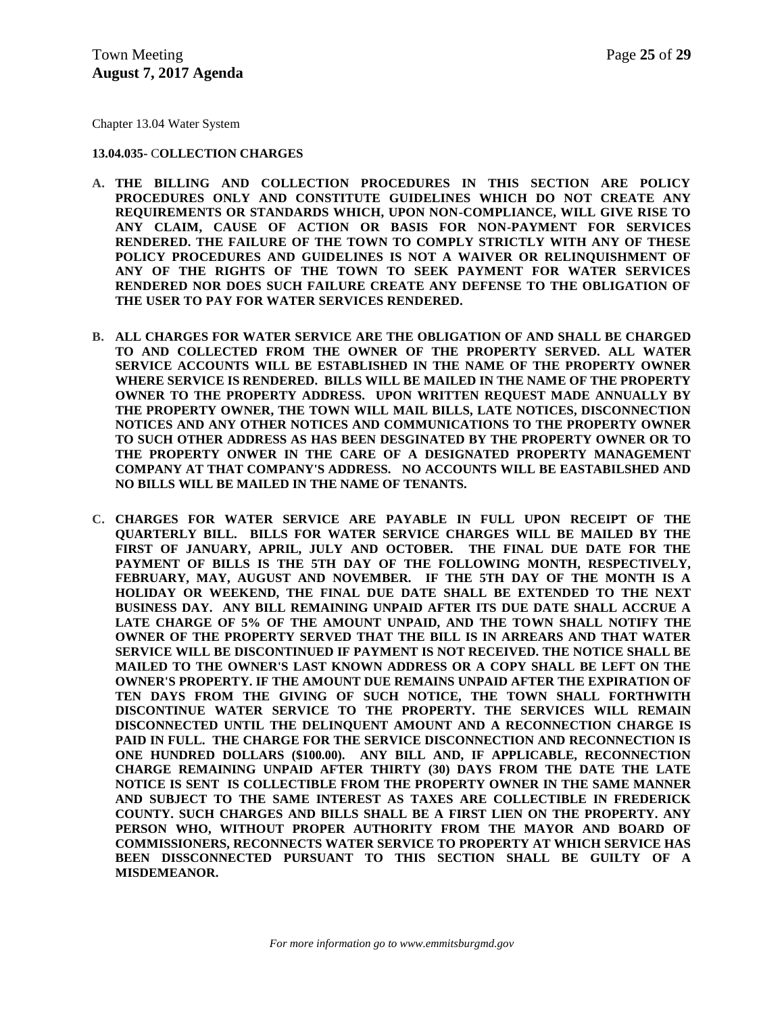Chapter 13.04 Water System

**13.04.035-** C**OLLECTION CHARGES**

- **A. THE BILLING AND COLLECTION PROCEDURES IN THIS SECTION ARE POLICY PROCEDURES ONLY AND CONSTITUTE GUIDELINES WHICH DO NOT CREATE ANY REQUIREMENTS OR STANDARDS WHICH, UPON NON-COMPLIANCE, WILL GIVE RISE TO ANY CLAIM, CAUSE OF ACTION OR BASIS FOR NON-PAYMENT FOR SERVICES RENDERED. THE FAILURE OF THE TOWN TO COMPLY STRICTLY WITH ANY OF THESE POLICY PROCEDURES AND GUIDELINES IS NOT A WAIVER OR RELINQUISHMENT OF ANY OF THE RIGHTS OF THE TOWN TO SEEK PAYMENT FOR WATER SERVICES RENDERED NOR DOES SUCH FAILURE CREATE ANY DEFENSE TO THE OBLIGATION OF THE USER TO PAY FOR WATER SERVICES RENDERED.**
- **B. ALL CHARGES FOR WATER SERVICE ARE THE OBLIGATION OF AND SHALL BE CHARGED TO AND COLLECTED FROM THE OWNER OF THE PROPERTY SERVED. ALL WATER SERVICE ACCOUNTS WILL BE ESTABLISHED IN THE NAME OF THE PROPERTY OWNER WHERE SERVICE IS RENDERED. BILLS WILL BE MAILED IN THE NAME OF THE PROPERTY OWNER TO THE PROPERTY ADDRESS. UPON WRITTEN REQUEST MADE ANNUALLY BY THE PROPERTY OWNER, THE TOWN WILL MAIL BILLS, LATE NOTICES, DISCONNECTION NOTICES AND ANY OTHER NOTICES AND COMMUNICATIONS TO THE PROPERTY OWNER TO SUCH OTHER ADDRESS AS HAS BEEN DESGINATED BY THE PROPERTY OWNER OR TO THE PROPERTY ONWER IN THE CARE OF A DESIGNATED PROPERTY MANAGEMENT COMPANY AT THAT COMPANY'S ADDRESS. NO ACCOUNTS WILL BE EASTABILSHED AND NO BILLS WILL BE MAILED IN THE NAME OF TENANTS.**
- **C. CHARGES FOR WATER SERVICE ARE PAYABLE IN FULL UPON RECEIPT OF THE QUARTERLY BILL. BILLS FOR WATER SERVICE CHARGES WILL BE MAILED BY THE FIRST OF JANUARY, APRIL, JULY AND OCTOBER. THE FINAL DUE DATE FOR THE PAYMENT OF BILLS IS THE 5TH DAY OF THE FOLLOWING MONTH, RESPECTIVELY, FEBRUARY, MAY, AUGUST AND NOVEMBER. IF THE 5TH DAY OF THE MONTH IS A HOLIDAY OR WEEKEND, THE FINAL DUE DATE SHALL BE EXTENDED TO THE NEXT BUSINESS DAY. ANY BILL REMAINING UNPAID AFTER ITS DUE DATE SHALL ACCRUE A LATE CHARGE OF 5% OF THE AMOUNT UNPAID, AND THE TOWN SHALL NOTIFY THE OWNER OF THE PROPERTY SERVED THAT THE BILL IS IN ARREARS AND THAT WATER SERVICE WILL BE DISCONTINUED IF PAYMENT IS NOT RECEIVED. THE NOTICE SHALL BE MAILED TO THE OWNER'S LAST KNOWN ADDRESS OR A COPY SHALL BE LEFT ON THE OWNER'S PROPERTY. IF THE AMOUNT DUE REMAINS UNPAID AFTER THE EXPIRATION OF TEN DAYS FROM THE GIVING OF SUCH NOTICE, THE TOWN SHALL FORTHWITH DISCONTINUE WATER SERVICE TO THE PROPERTY. THE SERVICES WILL REMAIN DISCONNECTED UNTIL THE DELINQUENT AMOUNT AND A RECONNECTION CHARGE IS PAID IN FULL. THE CHARGE FOR THE SERVICE DISCONNECTION AND RECONNECTION IS ONE HUNDRED DOLLARS (\$100.00). ANY BILL AND, IF APPLICABLE, RECONNECTION CHARGE REMAINING UNPAID AFTER THIRTY (30) DAYS FROM THE DATE THE LATE NOTICE IS SENT IS COLLECTIBLE FROM THE PROPERTY OWNER IN THE SAME MANNER AND SUBJECT TO THE SAME INTEREST AS TAXES ARE COLLECTIBLE IN FREDERICK COUNTY. SUCH CHARGES AND BILLS SHALL BE A FIRST LIEN ON THE PROPERTY. ANY PERSON WHO, WITHOUT PROPER AUTHORITY FROM THE MAYOR AND BOARD OF COMMISSIONERS, RECONNECTS WATER SERVICE TO PROPERTY AT WHICH SERVICE HAS BEEN DISSCONNECTED PURSUANT TO THIS SECTION SHALL BE GUILTY OF A MISDEMEANOR.**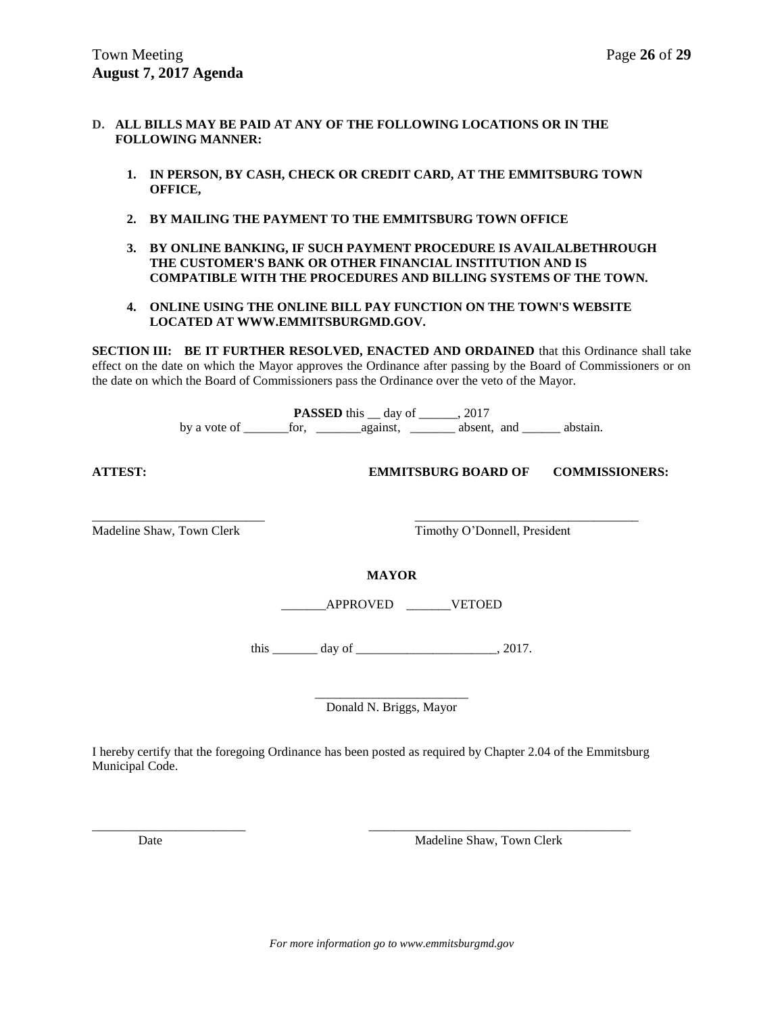- **D. ALL BILLS MAY BE PAID AT ANY OF THE FOLLOWING LOCATIONS OR IN THE FOLLOWING MANNER:**
	- **1. IN PERSON, BY CASH, CHECK OR CREDIT CARD, AT THE EMMITSBURG TOWN OFFICE,**
	- **2. BY MAILING THE PAYMENT TO THE EMMITSBURG TOWN OFFICE**
	- **3. BY ONLINE BANKING, IF SUCH PAYMENT PROCEDURE IS AVAILALBETHROUGH THE CUSTOMER'S BANK OR OTHER FINANCIAL INSTITUTION AND IS COMPATIBLE WITH THE PROCEDURES AND BILLING SYSTEMS OF THE TOWN.**
	- **4. ONLINE USING THE ONLINE BILL PAY FUNCTION ON THE TOWN'S WEBSITE LOCATED AT WWW.EMMITSBURGMD.GOV.**

**SECTION III: BE IT FURTHER RESOLVED, ENACTED AND ORDAINED** that this Ordinance shall take effect on the date on which the Mayor approves the Ordinance after passing by the Board of Commissioners or on the date on which the Board of Commissioners pass the Ordinance over the veto of the Mayor.

> **PASSED** this <u>equal</u> day of <u>equal</u>, 2017 by a vote of \_\_\_\_\_\_\_for, \_\_\_\_\_\_\_against, \_\_\_\_\_\_\_ absent, and \_\_\_\_\_\_ abstain.

**ATTEST: EMMITSBURG BOARD OF COMMISSIONERS:**

\_\_\_\_\_\_\_\_\_\_\_\_\_\_\_\_\_\_\_\_\_\_\_\_\_\_\_ \_\_\_\_\_\_\_\_\_\_\_\_\_\_\_\_\_\_\_\_\_\_\_\_\_\_\_\_\_\_\_\_\_\_\_ Madeline Shaw, Town Clerk Timothy O'Donnell, President

**MAYOR**

\_\_\_\_\_\_\_APPROVED \_\_\_\_\_\_\_VETOED

this \_\_\_\_\_\_\_\_ day of \_\_\_\_\_\_\_\_\_\_\_\_\_\_\_\_\_\_\_\_\_\_\_\_\_\_\_, 2017.

\_\_\_\_\_\_\_\_\_\_\_\_\_\_\_\_\_\_\_\_\_\_\_\_ Donald N. Briggs, Mayor

I hereby certify that the foregoing Ordinance has been posted as required by Chapter 2.04 of the Emmitsburg Municipal Code.

\_\_\_\_\_\_\_\_\_\_\_\_\_\_\_\_\_\_\_\_\_\_\_\_ \_\_\_\_\_\_\_\_\_\_\_\_\_\_\_\_\_\_\_\_\_\_\_\_\_\_\_\_\_\_\_\_\_\_\_\_\_\_\_\_\_

Date Madeline Shaw, Town Clerk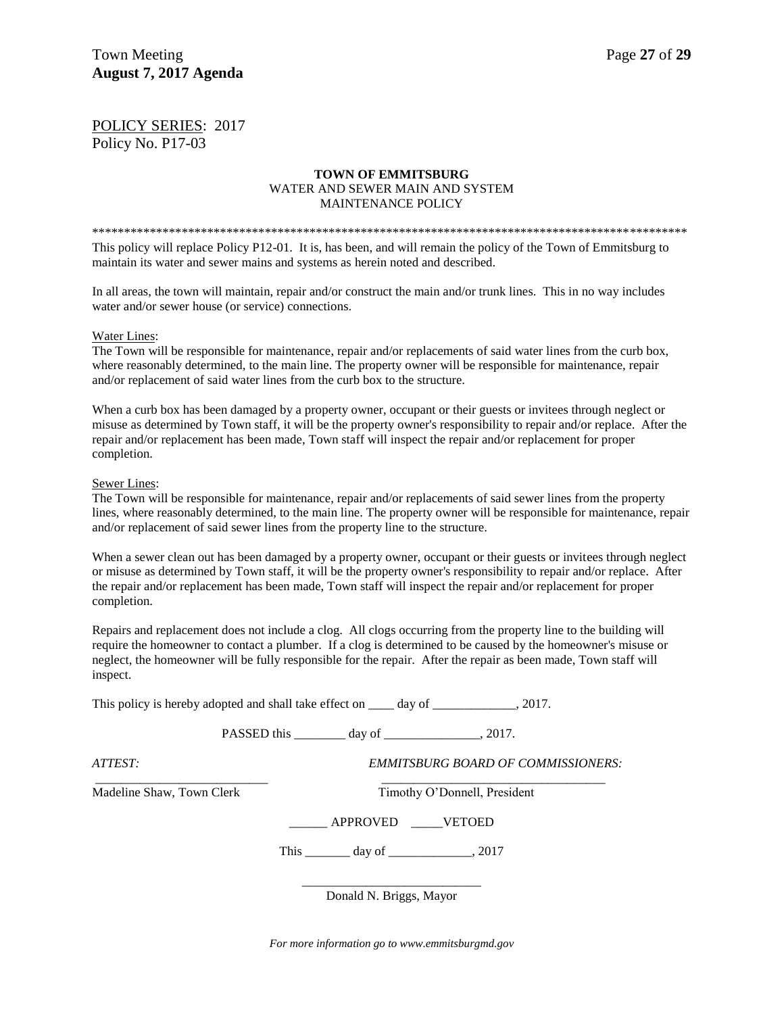POLICY SERIES: 2017 Policy No. P17-03

### **TOWN OF EMMITSBURG** WATER AND SEWER MAIN AND SYSTEM MAINTENANCE POLICY

\*\*\*\*\*\*\*\*\*\*\*\*\*\*\*\*\*\*\*\*\*\*\*\*\*\*\*\*\*\*\*\*\*\*\*\*\*\*\*\*\*\*\*\*\*\*\*\*\*\*\*\*\*\*\*\*\*\*\*\*\*\*\*\*\*\*\*\*\*\*\*\*\*\*\*\*\*\*\*\*\*\*\*\*\*\*\*\*\*\*\*\*\* This policy will replace Policy P12-01. It is, has been, and will remain the policy of the Town of Emmitsburg to maintain its water and sewer mains and systems as herein noted and described.

In all areas, the town will maintain, repair and/or construct the main and/or trunk lines. This in no way includes water and/or sewer house (or service) connections.

#### Water Lines:

The Town will be responsible for maintenance, repair and/or replacements of said water lines from the curb box, where reasonably determined, to the main line. The property owner will be responsible for maintenance, repair and/or replacement of said water lines from the curb box to the structure.

When a curb box has been damaged by a property owner, occupant or their guests or invitees through neglect or misuse as determined by Town staff, it will be the property owner's responsibility to repair and/or replace. After the repair and/or replacement has been made, Town staff will inspect the repair and/or replacement for proper completion.

#### Sewer Lines:

The Town will be responsible for maintenance, repair and/or replacements of said sewer lines from the property lines, where reasonably determined, to the main line. The property owner will be responsible for maintenance, repair and/or replacement of said sewer lines from the property line to the structure.

When a sewer clean out has been damaged by a property owner, occupant or their guests or invitees through neglect or misuse as determined by Town staff, it will be the property owner's responsibility to repair and/or replace. After the repair and/or replacement has been made, Town staff will inspect the repair and/or replacement for proper completion.

Repairs and replacement does not include a clog. All clogs occurring from the property line to the building will require the homeowner to contact a plumber. If a clog is determined to be caused by the homeowner's misuse or neglect, the homeowner will be fully responsible for the repair. After the repair as been made, Town staff will inspect.

This policy is hereby adopted and shall take effect on \_\_\_\_\_ day of \_\_\_\_\_\_\_\_\_\_\_\_, 2017.

PASSED this \_\_\_\_\_\_\_\_ day of \_\_\_\_\_\_\_\_\_\_\_\_\_, 2017.

\_\_\_\_\_\_\_\_\_\_\_\_\_\_\_\_\_\_\_\_\_\_\_\_\_\_\_ \_\_\_\_\_\_\_\_\_\_\_\_\_\_\_\_\_\_\_\_\_\_\_\_\_\_\_\_\_\_\_\_\_\_\_

*ATTEST: EMMITSBURG BOARD OF COMMISSIONERS:*

Madeline Shaw, Town Clerk Timothy O'Donnell, President

\_\_\_\_\_\_ APPROVED \_\_\_\_\_VETOED

This day of  $\qquad \qquad$  , 2017

\_\_\_\_\_\_\_\_\_\_\_\_\_\_\_\_\_\_\_\_\_\_\_\_\_\_\_\_ Donald N. Briggs, Mayor

*For more information go to www.emmitsburgmd.gov*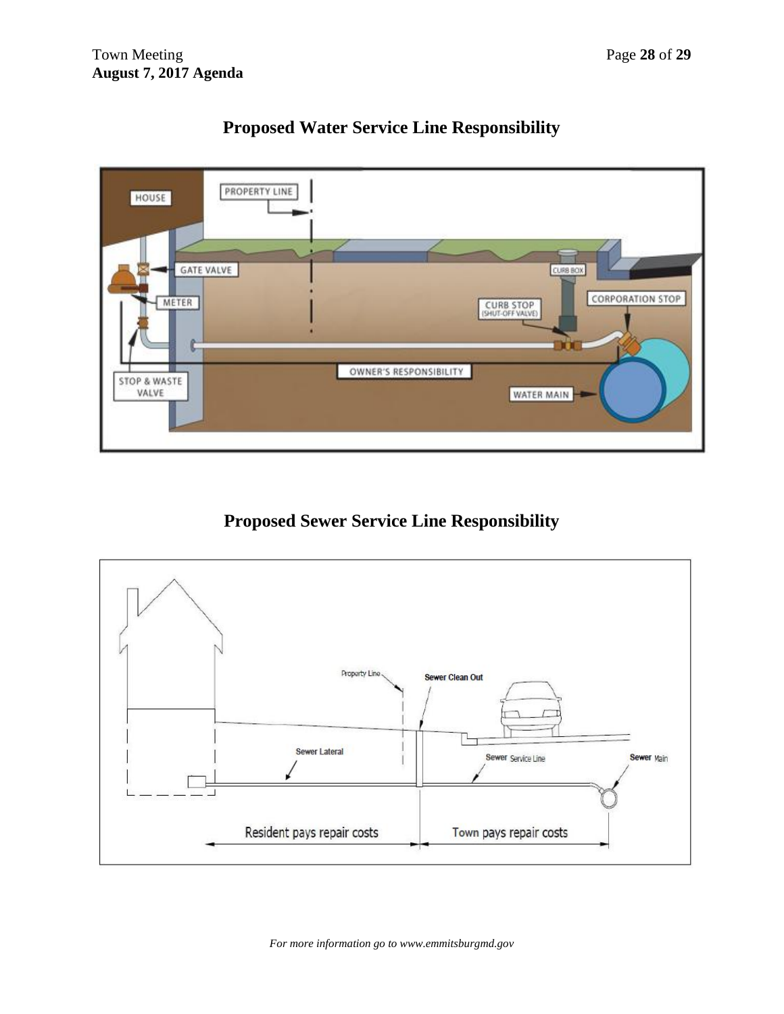

# **Proposed Water Service Line Responsibility**

# **Proposed Sewer Service Line Responsibility**